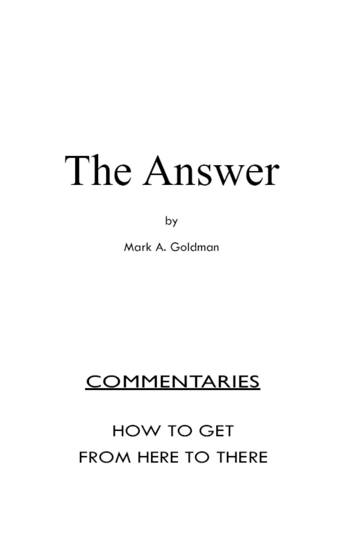by

Mark A. Goldman

# **COMMENTARIES**

# **HOW TO GET FROM HERE TO THERE**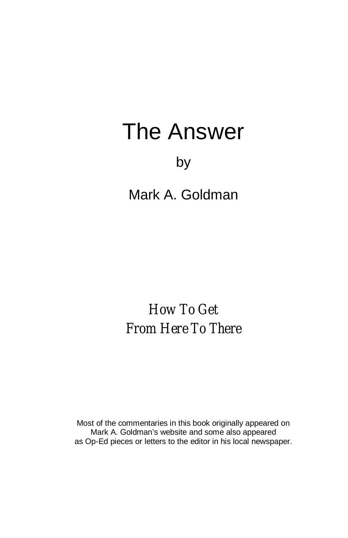# by

Mark A. Goldman

*How To Get From Here To There*

Most of the commentaries in this book originally appeared on Mark A. Goldman's website and some also appeared as Op-Ed pieces or letters to the editor in his local newspaper.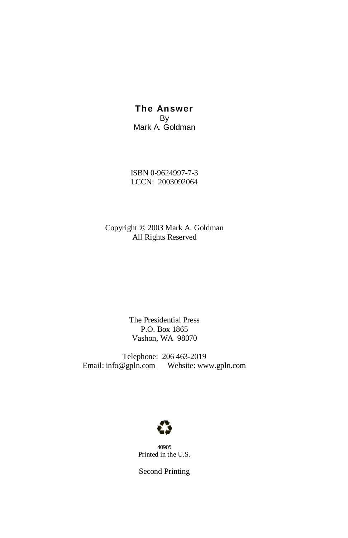**The Answer** By Mark A. Goldman

ISBN 0-9624997-7-3 LCCN: 2003092064

Copyright  $©$  2003 Mark A. Goldman All Rights Reserved

> The Presidential Press P.O. Box 1865 Vashon, WA 98070

Telephone: 206 463-2019 Email: info@gpln.com Website: www.gpln.com



40905 Printed in the U.S.

Second Printing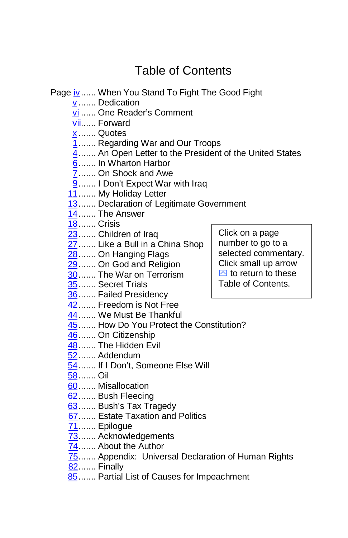# <span id="page-3-0"></span>Table of Contents

Page [iv .](#page-4-0)..... When You Stand To Fight The Good Fight

- [v](#page-5-0) ....... Dedication
- [vi .](#page-6-0)..... One Reader's Comment
- [vii..](#page-7-0).... Forward
- [x](#page-10-0) ....... Quotes
- [1](#page-11-0) ....... Regarding War and Our Troops
- [4](#page-14-0) ....... An Open Letter to the President of the United States
- [6](#page-16-0) ....... In Wharton Harbor
- [7](#page-17-0) ....... On Shock and Awe
- 9....... I Don't Expect War with Iraq
- [11](#page-21-0) ....... My Holiday Letter
- [13](#page-22-0) ....... Declaration of Legitimate Government
- [14](#page-24-0) ....... The Answer
- [18](#page-28-0) ....... Crisis
- [23](#page-33-0) ....... Children of Iraq
- [27](#page-37-0) ....... Like a Bull in a China Shop
- [28](#page-38-0) ....... On Hanging Flags
- [29](#page-39-0) ....... On God and Religion
- [30](#page-40-0) ....... The War on Terrorism
- [35](#page-45-0) ....... Secret Trials
- [36](#page-46-0) ....... Failed Presidency
- [42](#page-52-0) ....... Freedom is Not Free
- [44](#page-54-0) ....... We Must Be Thankful
- [45](#page-55-0) ....... How Do You Protect the Constitution?
- [46](#page-56-0) ....... On Citizenship
- [48](#page-58-0) ....... The Hidden Evil
- [52](#page-62-0) ...... Addendum
- [54](#page-64-0) ....... If I Don't, Someone Else Will
- [58](#page-68-0) ....... Oil
- [60](#page-70-0) ....... Misallocation
- [62](#page-72-0) ....... Bush Fleecing
- [63](#page-73-0) ....... Bush's Tax Tragedy
- [67 .](#page-77-0)...... Estate Taxation and Politics
- [71 .](#page-81-0)...... Epilogue
- [73 .](#page-83-0)...... Acknowledgements
- [74 .](#page-84-0)..... About the Author
- 75....... Appendix: Universal Declaration of Human Rights
- 82....... Finally
- 85 ....... Partial List of Causes for Impeachment

Click on a page number to go to a selected commentary. Click small up arrow  $\boxdot$  to return to these Table of Contents.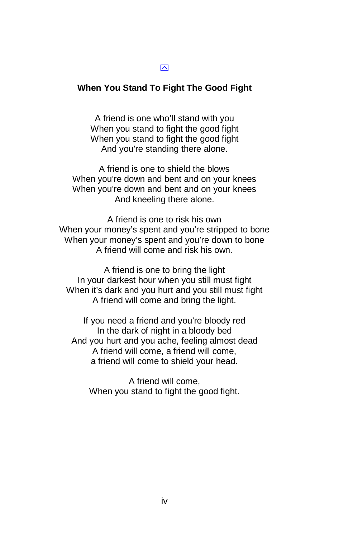#### <span id="page-4-0"></span> $\overline{\mathsf{M}}$

#### **When You Stand To Fight The Good Fight**

A friend is one who'll stand with you When you stand to fight the good fight When you stand to fight the good fight And you're standing there alone.

A friend is one to shield the blows When you're down and bent and on your knees When you're down and bent and on your knees And kneeling there alone.

A friend is one to risk his own When your money's spent and you're stripped to bone When your money's spent and you're down to bone A friend will come and risk his own.

A friend is one to bring the light In your darkest hour when you still must fight When it's dark and you hurt and you still must fight A friend will come and bring the light.

If you need a friend and you're bloody red In the dark of night in a bloody bed And you hurt and you ache, feeling almost dead A friend will come, a friend will come, a friend will come to shield your head.

A friend will come, When you stand to fight the good fight.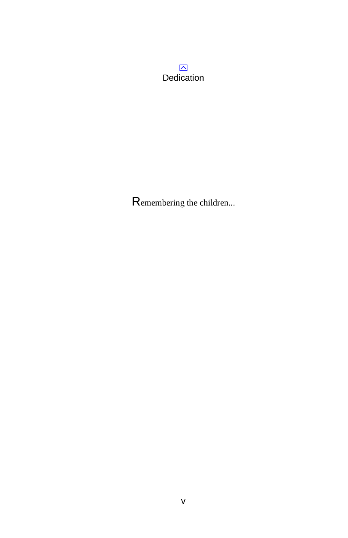<span id="page-5-0"></span> $\triangleright$ Dedication

Remembering the children...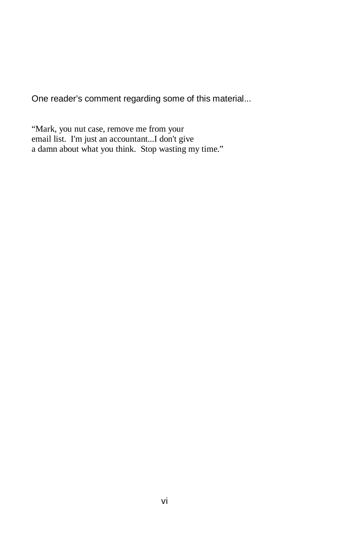<span id="page-6-0"></span>One reader's comment regarding some of this material...

"Mark, you nut case, remove me from your email list. I'm just an accountant...I don't give a damn about what you think. Stop wasting my time."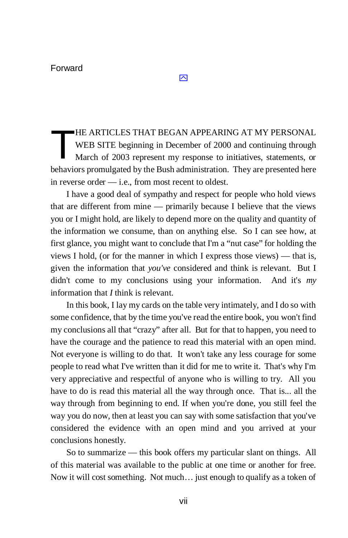<span id="page-7-0"></span>HE ARTICLES THAT BEGAN APPEARING AT MY PERSONAL WEB SITE beginning in December of 2000 and continuing through March of 2003 represent my response to initiatives, statements, or behaviors promulgated by the Bush administration. They are presented here in reverse order — i.e., from most recent to oldest. T

 $\overline{\mathbf{N}}$ 

I have a good deal of sympathy and respect for people who hold views that are different from mine — primarily because I believe that the views you or I might hold, are likely to depend more on the quality and quantity of the information we consume, than on anything else. So I can see how, at first glance, you might want to conclude that I'm a "nut case" for holding the views I hold, (or for the manner in which I express those views) — that is, given the information that *you've* considered and think is relevant. But I didn't come to my conclusions using your information. And it's *my* information that *I* think is relevant.

In this book, I lay my cards on the table very intimately, and I do so with some confidence, that by the time you've read the entire book, you won't find my conclusions all that "crazy" after all. But for that to happen, you need to have the courage and the patience to read this material with an open mind. Not everyone is willing to do that. It won't take any less courage for some people to read what I've written than it did for me to write it. That's why I'm very appreciative and respectful of anyone who is willing to try. All you have to do is read this material all the way through once. That is... all the way through from beginning to end. If when you're done, you still feel the way you do now, then at least you can say with some satisfaction that you've considered the evidence with an open mind and you arrived at your conclusions honestly.

So to summarize — this book offers my particular slant on things. All of this material was available to the public at one time or another for free. Now it will cost something. Not much… just enough to qualify as a token of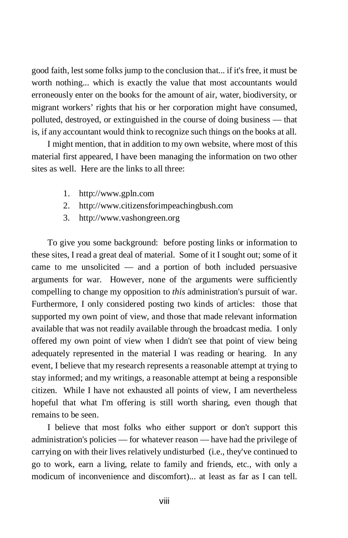good faith, lest some folks jump to the conclusion that... if it's free, it must be worth nothing... which is exactly the value that most accountants would erroneously enter on the books for the amount of air, water, biodiversity, or migrant workers' rights that his or her corporation might have consumed, polluted, destroyed, or extinguished in the course of doing business — that is, if any accountant would think to recognize such things on the books at all.

I might mention, that in addition to my own website, where most of this material first appeared, I have been managing the information on two other sites as well. Here are the links to all three:

- 1. http://www.gpln.com
- 2. http://www.citizensforimpeachingbush.com
- 3. http://www.vashongreen.org

To give you some background: before posting links or information to these sites, I read a great deal of material. Some of it I sought out; some of it came to me unsolicited — and a portion of both included persuasive arguments for war. However, none of the arguments were sufficiently compelling to change my opposition to *this* administration's pursuit of war. Furthermore, I only considered posting two kinds of articles: those that supported my own point of view, and those that made relevant information available that was not readily available through the broadcast media. I only offered my own point of view when I didn't see that point of view being adequately represented in the material I was reading or hearing. In any event, I believe that my research represents a reasonable attempt at trying to stay informed; and my writings, a reasonable attempt at being a responsible citizen. While I have not exhausted all points of view, I am nevertheless hopeful that what I'm offering is still worth sharing, even though that remains to be seen.

I believe that most folks who either support or don't support this administration's policies — for whatever reason — have had the privilege of carrying on with their lives relatively undisturbed (i.e., they've continued to go to work, earn a living, relate to family and friends, etc., with only a modicum of inconvenience and discomfort)... at least as far as I can tell.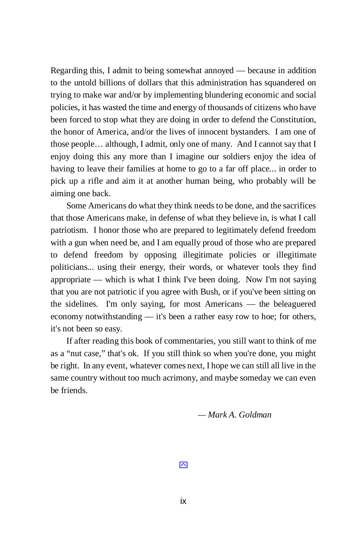Regarding this, I admit to being somewhat annoyed — because in addition to the untold billions of dollars that this administration has squandered on trying to make war and/or by implementing blundering economic and social policies, it has wasted the time and energy of thousands of citizens who have been forced to stop what they are doing in order to defend the Constitution, the honor of America, and/or the lives of innocent bystanders. I am one of those people… although, I admit, only one of many. And I cannot say that I enjoy doing this any more than I imagine our soldiers enjoy the idea of having to leave their families at home to go to a far off place... in order to pick up a rifle and aim it at another human being, who probably will be aiming one back.

Some Americans do what they think needs to be done, and the sacrifices that those Americans make, in defense of what they believe in, is what I call patriotism. I honor those who are prepared to legitimately defend freedom with a gun when need be, and I am equally proud of those who are prepared to defend freedom by opposing illegitimate policies or illegitimate politicians... using their energy, their words, or whatever tools they find appropriate — which is what I think I've been doing. Now I'm not saying that you are not patriotic if you agree with Bush, or if you've been sitting on the sidelines. I'm only saying, for most Americans — the beleaguered economy notwithstanding — it's been a rather easy row to hoe; for others, it's not been so easy.

 If after reading this book of commentaries, you still want to think of me as a "nut case," that's ok. If you still think so when you're done, you might be right. In any event, whatever comes next, I hope we can still all live in the same country without too much acrimony, and maybe someday we can even be friends.

 *— Mark A. Goldman*

 $\overline{\mathsf{M}}$ 

ix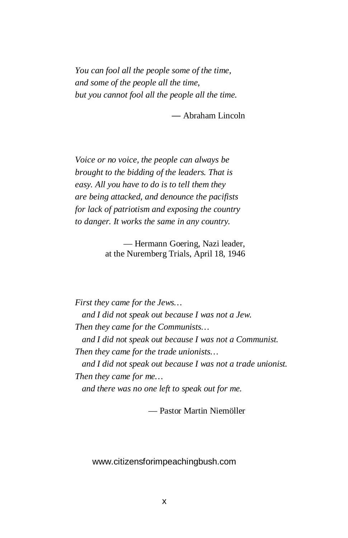<span id="page-10-0"></span>*You can fool all the people some of the time, and some of the people all the time, but you cannot fool all the people all the time.*

— Abraham Lincoln

*Voice or no voice, the people can always be brought to the bidding of the leaders. That is easy. All you have to do is to tell them they are being attacked, and denounce the pacifists for lack of patriotism and exposing the country to danger. It works the same in any country.*

> — Hermann Goering, Nazi leader, at the Nuremberg Trials, April 18, 1946

*First they came for the Jews… and I did not speak out because I was not a Jew. Then they came for the Communists… and I did not speak out because I was not a Communist. Then they came for the trade unionists… and I did not speak out because I was not a trade unionist. Then they came for me… and there was no one left to speak out for me.*

— Pastor Martin Niemöller

www.citizensforimpeachingbush.com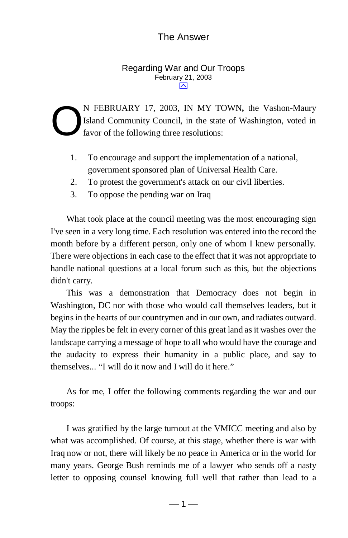#### <span id="page-11-0"></span>Regarding War and Our Troops February 21, 2003  $\triangleright$

N FEBRUARY 17, 2003, IN MY TOWN**,** the Vashon-Maury Island Community Council, in the state of Washington, voted in favor of the following three resolutions: O

- 1. To encourage and support the implementation of a national, government sponsored plan of Universal Health Care.
- 2. To protest the government's attack on our civil liberties.
- 3. To oppose the pending war on Iraq

 What took place at the council meeting was the most encouraging sign I've seen in a very long time. Each resolution was entered into the record the month before by a different person, only one of whom I knew personally. There were objections in each case to the effect that it was not appropriate to handle national questions at a local forum such as this, but the objections didn't carry.

 This was a demonstration that Democracy does not begin in Washington, DC nor with those who would call themselves leaders, but it begins in the hearts of our countrymen and in our own, and radiates outward. May the ripples be felt in every corner of this great land as it washes over the landscape carrying a message of hope to all who would have the courage and the audacity to express their humanity in a public place, and say to themselves... "I will do it now and I will do it here."

 As for me, I offer the following comments regarding the war and our troops:

 I was gratified by the large turnout at the VMICC meeting and also by what was accomplished. Of course, at this stage, whether there is war with Iraq now or not, there will likely be no peace in America or in the world for many years. George Bush reminds me of a lawyer who sends off a nasty letter to opposing counsel knowing full well that rather than lead to a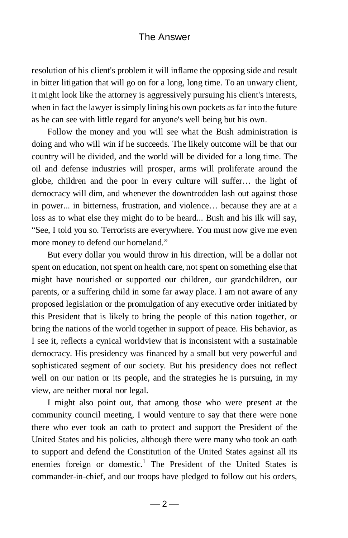resolution of his client's problem it will inflame the opposing side and result in bitter litigation that will go on for a long, long time. To an unwary client, it might look like the attorney is aggressively pursuing his client's interests, when in fact the lawyer is simply lining his own pockets as far into the future as he can see with little regard for anyone's well being but his own.

 Follow the money and you will see what the Bush administration is doing and who will win if he succeeds. The likely outcome will be that our country will be divided, and the world will be divided for a long time. The oil and defense industries will prosper, arms will proliferate around the globe, children and the poor in every culture will suffer… the light of democracy will dim, and whenever the downtrodden lash out against those in power... in bitterness, frustration, and violence… because they are at a loss as to what else they might do to be heard... Bush and his ilk will say, "See, I told you so. Terrorists are everywhere. You must now give me even more money to defend our homeland."

 But every dollar you would throw in his direction, will be a dollar not spent on education, not spent on health care, not spent on something else that might have nourished or supported our children, our grandchildren, our parents, or a suffering child in some far away place. I am not aware of any proposed legislation or the promulgation of any executive order initiated by this President that is likely to bring the people of this nation together, or bring the nations of the world together in support of peace. His behavior, as I see it, reflects a cynical worldview that is inconsistent with a sustainable democracy. His presidency was financed by a small but very powerful and sophisticated segment of our society. But his presidency does not reflect well on our nation or its people, and the strategies he is pursuing, in my view, are neither moral nor legal.

I might also point out, that among those who were present at the community council meeting, I would venture to say that there were none there who ever took an oath to protect and support the President of the United States and his policies, although there were many who took an oath to support and defend the Constitution of the United States against all its enemies foreign or domestic.<sup>1</sup> The President of the United States is commander-in-chief, and our troops have pledged to follow out his orders,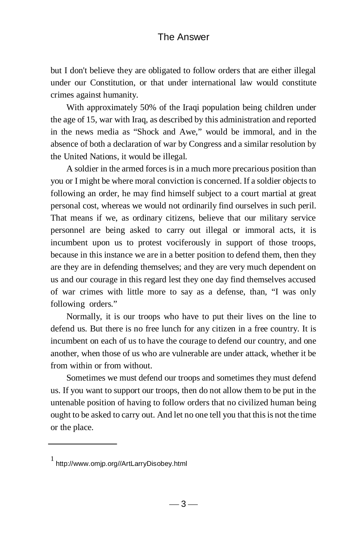but I don't believe they are obligated to follow orders that are either illegal under our Constitution, or that under international law would constitute crimes against humanity.

 With approximately 50% of the Iraqi population being children under the age of 15, war with Iraq, as described by this administration and reported in the news media as "Shock and Awe," would be immoral, and in the absence of both a declaration of war by Congress and a similar resolution by the United Nations, it would be illegal.

 A soldier in the armed forces is in a much more precarious position than you or I might be where moral conviction is concerned. If a soldier objects to following an order, he may find himself subject to a court martial at great personal cost, whereas we would not ordinarily find ourselves in such peril. That means if we, as ordinary citizens, believe that our military service personnel are being asked to carry out illegal or immoral acts, it is incumbent upon us to protest vociferously in support of those troops, because in this instance we are in a better position to defend them, then they are they are in defending themselves; and they are very much dependent on us and our courage in this regard lest they one day find themselves accused of war crimes with little more to say as a defense, than, "I was only following orders."

 Normally, it is our troops who have to put their lives on the line to defend us. But there is no free lunch for any citizen in a free country. It is incumbent on each of us to have the courage to defend our country, and one another, when those of us who are vulnerable are under attack, whether it be from within or from without.

 Sometimes we must defend our troops and sometimes they must defend us. If you want to support our troops, then do not allow them to be put in the untenable position of having to follow orders that no civilized human being ought to be asked to carry out. And let no one tell you that this is not the time or the place.

<sup>1</sup> http://www.omjp.org//ArtLarryDisobey.html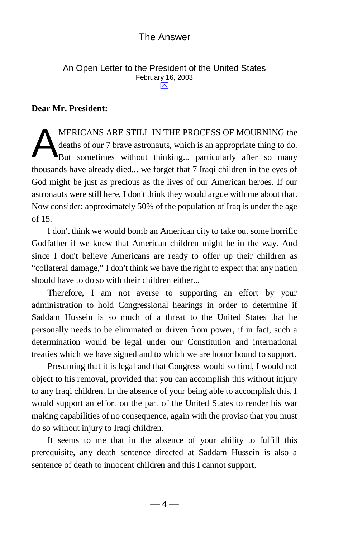#### <span id="page-14-0"></span>An Open Letter to the President of the United States February 16, 2003  $\overline{\sim}$

#### **Dear Mr. President:**

MERICANS ARE STILL IN THE PROCESS OF MOURNING the deaths of our 7 brave astronauts, which is an appropriate thing to do. But sometimes without thinking... particularly after so many thousands have already died... we forget that 7 Iraqi children in the eyes of God might be just as precious as the lives of our American heroes. If our astronauts were still here, I don't think they would argue with me about that. Now consider: approximately 50% of the population of Iraq is under the age of 15. A

I don't think we would bomb an American city to take out some horrific Godfather if we knew that American children might be in the way. And since I don't believe Americans are ready to offer up their children as "collateral damage," I don't think we have the right to expect that any nation should have to do so with their children either...

Therefore, I am not averse to supporting an effort by your administration to hold Congressional hearings in order to determine if Saddam Hussein is so much of a threat to the United States that he personally needs to be eliminated or driven from power, if in fact, such a determination would be legal under our Constitution and international treaties which we have signed and to which we are honor bound to support.

Presuming that it is legal and that Congress would so find, I would not object to his removal, provided that you can accomplish this without injury to any Iraqi children. In the absence of your being able to accomplish this, I would support an effort on the part of the United States to render his war making capabilities of no consequence, again with the proviso that you must do so without injury to Iraqi children.

It seems to me that in the absence of your ability to fulfill this prerequisite, any death sentence directed at Saddam Hussein is also a sentence of death to innocent children and this I cannot support.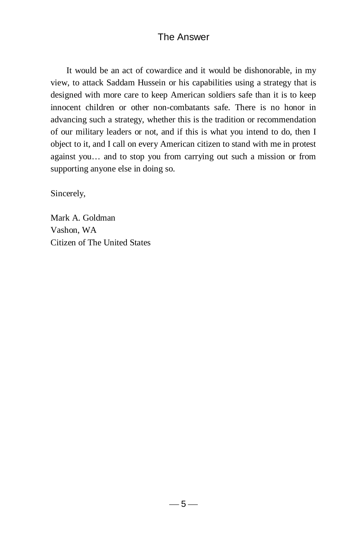It would be an act of cowardice and it would be dishonorable, in my view, to attack Saddam Hussein or his capabilities using a strategy that is designed with more care to keep American soldiers safe than it is to keep innocent children or other non-combatants safe. There is no honor in advancing such a strategy, whether this is the tradition or recommendation of our military leaders or not, and if this is what you intend to do, then I object to it, and I call on every American citizen to stand with me in protest against you… and to stop you from carrying out such a mission or from supporting anyone else in doing so.

Sincerely,

Mark A. Goldman Vashon, WA Citizen of The United States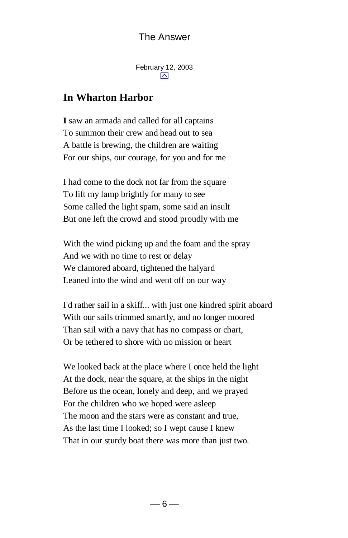<span id="page-16-0"></span>February 12, 2003  $\overline{\mathsf{M}}$ 

# **In Wharton Harbor**

**I** saw an armada and called for all captains To summon their crew and head out to sea A battle is brewing, the children are waiting For our ships, our courage, for you and for me

I had come to the dock not far from the square To lift my lamp brightly for many to see Some called the light spam, some said an insult But one left the crowd and stood proudly with me

With the wind picking up and the foam and the spray And we with no time to rest or delay We clamored aboard, tightened the halyard Leaned into the wind and went off on our way

I'd rather sail in a skiff... with just one kindred spirit aboard With our sails trimmed smartly, and no longer moored Than sail with a navy that has no compass or chart, Or be tethered to shore with no mission or heart

We looked back at the place where I once held the light At the dock, near the square, at the ships in the night Before us the ocean, lonely and deep, and we prayed For the children who we hoped were asleep The moon and the stars were as constant and true, As the last time I looked; so I wept cause I knew That in our sturdy boat there was more than just two.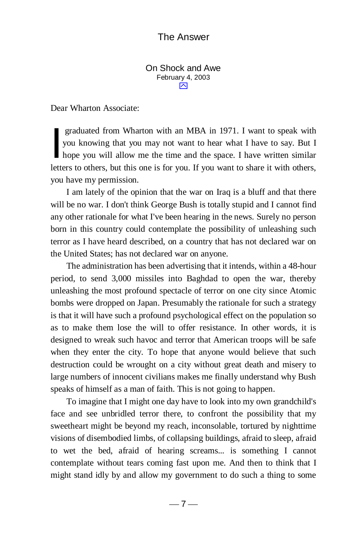<span id="page-17-0"></span>On Shock and Awe February 4, 2003 ⌒

Dear Wharton Associate:

 graduated from Wharton with an MBA in 1971. I want to speak with you knowing that you may not want to hear what I have to say. But I graduated from Wharton with an MBA in 1971. I want to speak with<br>you knowing that you may not want to hear what I have to say. But I<br>hope you will allow me the time and the space. I have written similar letters to others, but this one is for you. If you want to share it with others, you have my permission.

I am lately of the opinion that the war on Iraq is a bluff and that there will be no war. I don't think George Bush is totally stupid and I cannot find any other rationale for what I've been hearing in the news. Surely no person born in this country could contemplate the possibility of unleashing such terror as I have heard described, on a country that has not declared war on the United States; has not declared war on anyone.

The administration has been advertising that it intends, within a 48-hour period, to send 3,000 missiles into Baghdad to open the war, thereby unleashing the most profound spectacle of terror on one city since Atomic bombs were dropped on Japan. Presumably the rationale for such a strategy is that it will have such a profound psychological effect on the population so as to make them lose the will to offer resistance. In other words, it is designed to wreak such havoc and terror that American troops will be safe when they enter the city. To hope that anyone would believe that such destruction could be wrought on a city without great death and misery to large numbers of innocent civilians makes me finally understand why Bush speaks of himself as a man of faith. This is not going to happen.

To imagine that I might one day have to look into my own grandchild's face and see unbridled terror there, to confront the possibility that my sweetheart might be beyond my reach, inconsolable, tortured by nighttime visions of disembodied limbs, of collapsing buildings, afraid to sleep, afraid to wet the bed, afraid of hearing screams... is something I cannot contemplate without tears coming fast upon me. And then to think that I might stand idly by and allow my government to do such a thing to some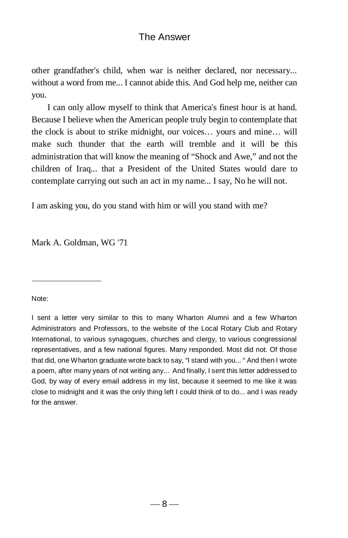other grandfather's child, when war is neither declared, nor necessary... without a word from me... I cannot abide this. And God help me, neither can you.

I can only allow myself to think that America's finest hour is at hand. Because I believe when the American people truly begin to contemplate that the clock is about to strike midnight, our voices… yours and mine… will make such thunder that the earth will tremble and it will be this administration that will know the meaning of "Shock and Awe," and not the children of Iraq... that a President of the United States would dare to contemplate carrying out such an act in my name... I say, No he will not.

I am asking you, do you stand with him or will you stand with me?

Mark A. Goldman, WG '71

Note:

I sent a letter very similar to this to many Wharton Alumni and a few Wharton Administrators and Professors, to the website of the Local Rotary Club and Rotary International, to various synagogues, churches and clergy, to various congressional representatives, and a few national figures. Many responded. Most did not. Of those that did, one Wharton graduate wrote back to say, "I stand with you... " And then I wrote a poem, after many years of not writing any... And finally, I sent this letter addressed to God, by way of every email address in my list, because it seemed to me like it was close to midnight and it was the only thing left I could think of to do... and I was ready for the answer.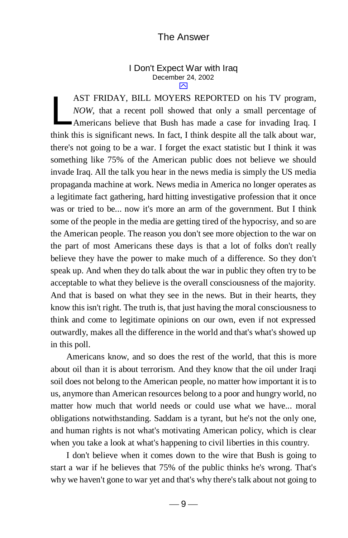#### <span id="page-19-0"></span>I Don't Expect War with Iraq December 24, 2002 ⌒

AST FRIDAY, BILL MOYERS REPORTED on his TV program, *NOW,* that a recent poll showed that only a small percentage of Americans believe that Bush has made a case for invading Iraq. I think this is significant news. In fact, I think despite all the talk about war, there's not going to be a war. I forget the exact statistic but I think it was something like 75% of the American public does not believe we should invade Iraq. All the talk you hear in the news media is simply the US media propaganda machine at work. News media in America no longer operates as a legitimate fact gathering, hard hitting investigative profession that it once was or tried to be... now it's more an arm of the government. But I think some of the people in the media are getting tired of the hypocrisy, and so are the American people. The reason you don't see more objection to the war on the part of most Americans these days is that a lot of folks don't really believe they have the power to make much of a difference. So they don't speak up. And when they do talk about the war in public they often try to be acceptable to what they believe is the overall consciousness of the majority. And that is based on what they see in the news. But in their hearts, they know this isn't right. The truth is, that just having the moral consciousness to think and come to legitimate opinions on our own, even if not expressed outwardly, makes all the difference in the world and that's what's showed up in this poll. L

Americans know, and so does the rest of the world, that this is more about oil than it is about terrorism. And they know that the oil under Iraqi soil does not belong to the American people, no matter how important it is to us, anymore than American resources belong to a poor and hungry world, no matter how much that world needs or could use what we have... moral obligations notwithstanding. Saddam is a tyrant, but he's not the only one, and human rights is not what's motivating American policy, which is clear when you take a look at what's happening to civil liberties in this country.

I don't believe when it comes down to the wire that Bush is going to start a war if he believes that 75% of the public thinks he's wrong. That's why we haven't gone to war yet and that's why there's talk about not going to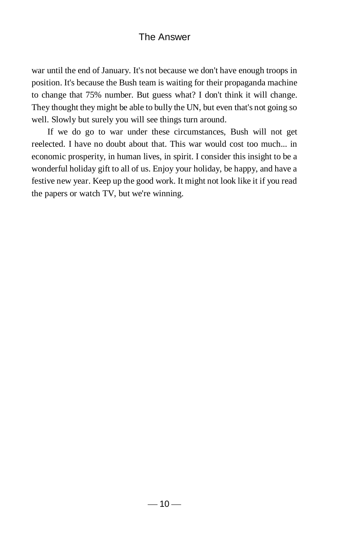war until the end of January. It's not because we don't have enough troops in position. It's because the Bush team is waiting for their propaganda machine to change that 75% number. But guess what? I don't think it will change. They thought they might be able to bully the UN, but even that's not going so well. Slowly but surely you will see things turn around.

 If we do go to war under these circumstances, Bush will not get reelected. I have no doubt about that. This war would cost too much... in economic prosperity, in human lives, in spirit. I consider this insight to be a wonderful holiday gift to all of us. Enjoy your holiday, be happy, and have a festive new year. Keep up the good work. It might not look like it if you read the papers or watch TV, but we're winning.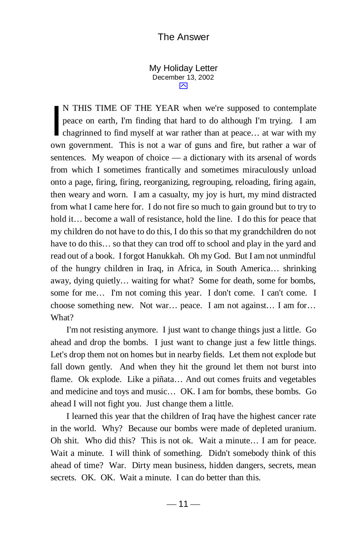<span id="page-21-0"></span>My Holiday Letter December 13, 2002 ⊠

N THIS TIME OF THE YEAR when we're supposed to contemplate peace on earth, I'm finding that hard to do although I'm trying. I am N THIS TIME OF THE YEAR when we're supposed to contemplate peace on earth, I'm finding that hard to do although I'm trying. I am chagrinned to find myself at war rather than at peace... at war with my own government. This is not a war of guns and fire, but rather a war of sentences. My weapon of choice — a dictionary with its arsenal of words from which I sometimes frantically and sometimes miraculously unload onto a page, firing, firing, reorganizing, regrouping, reloading, firing again, then weary and worn. I am a casualty, my joy is hurt, my mind distracted from what I came here for. I do not fire so much to gain ground but to try to hold it… become a wall of resistance, hold the line. I do this for peace that my children do not have to do this, I do this so that my grandchildren do not have to do this… so that they can trod off to school and play in the yard and read out of a book. I forgot Hanukkah. Oh my God. But I am not unmindful of the hungry children in Iraq, in Africa, in South America… shrinking away, dying quietly… waiting for what? Some for death, some for bombs, some for me… I'm not coming this year. I don't come. I can't come. I choose something new. Not war… peace. I am not against… I am for… What?

 I'm not resisting anymore. I just want to change things just a little. Go ahead and drop the bombs. I just want to change just a few little things. Let's drop them not on homes but in nearby fields. Let them not explode but fall down gently. And when they hit the ground let them not burst into flame. Ok explode. Like a piñata… And out comes fruits and vegetables and medicine and toys and music… OK. I am for bombs, these bombs. Go ahead I will not fight you. Just change them a little.

 I learned this year that the children of Iraq have the highest cancer rate in the world. Why? Because our bombs were made of depleted uranium. Oh shit. Who did this? This is not ok. Wait a minute… I am for peace. Wait a minute. I will think of something. Didn't somebody think of this ahead of time? War. Dirty mean business, hidden dangers, secrets, mean secrets. OK. OK. Wait a minute. I can do better than this.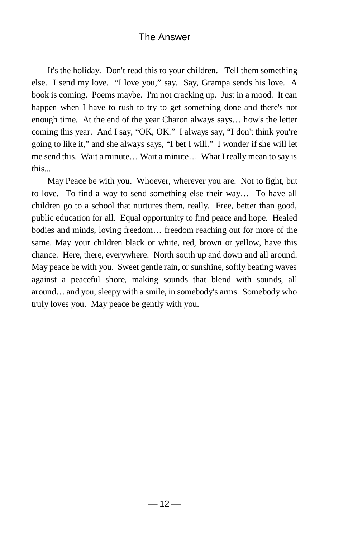It's the holiday. Don't read this to your children. Tell them something else. I send my love. "I love you," say. Say, Grampa sends his love. A book is coming. Poems maybe. I'm not cracking up. Just in a mood. It can happen when I have to rush to try to get something done and there's not enough time. At the end of the year Charon always says… how's the letter coming this year. And I say, "OK, OK." I always say, "I don't think you're going to like it," and she always says, "I bet I will." I wonder if she will let me send this. Wait a minute… Wait a minute… What I really mean to say is this...

<span id="page-22-0"></span> May Peace be with you. Whoever, wherever you are. Not to fight, but to love. To find a way to send something else their way… To have all children go to a school that nurtures them, really. Free, better than good, public education for all. Equal opportunity to find peace and hope. Healed bodies and minds, loving freedom… freedom reaching out for more of the same. May your children black or white, red, brown or yellow, have this chance. Here, there, everywhere. North south up and down and all around. May peace be with you. Sweet gentle rain, or sunshine, softly beating waves against a peaceful shore, making sounds that blend with sounds, all around… and you, sleepy with a smile, in somebody's arms. Somebody who truly loves you. May peace be gently with you.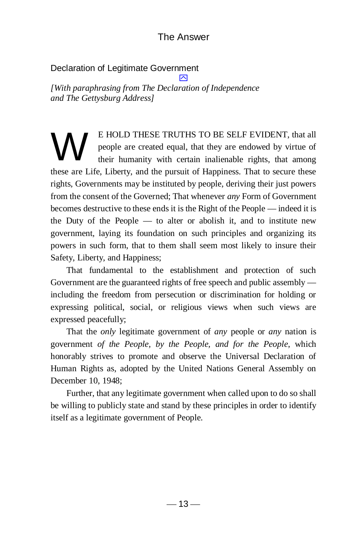#### Declaration of Legitimate Government

 $\boxtimes$ *[With paraphrasing from The Declaration of Independence and The Gettysburg Address]*

E HOLD THESE TRUTHS TO BE SELF EVIDENT, that all people are created equal, that they are endowed by virtue of their humanity with certain inalienable rights, that among these are Life, Liberty, and the pursuit of Happiness. That to secure these rights, Governments may be instituted by people, deriving their just powers from the consent of the Governed; That whenever *any* Form of Government becomes destructive to these ends it is the Right of the People — indeed it is the Duty of the People — to alter or abolish it, and to institute new government, laying its foundation on such principles and organizing its powers in such form, that to them shall seem most likely to insure their Safety, Liberty, and Happiness; W

That fundamental to the establishment and protection of such Government are the guaranteed rights of free speech and public assembly including the freedom from persecution or discrimination for holding or expressing political, social, or religious views when such views are expressed peacefully;

That the *only* legitimate government of *any* people or *any* nation is government *of the People, by the People, and for the People*, which honorably strives to promote and observe the Universal Declaration of Human Rights as, adopted by the United Nations General Assembly on December 10, 1948;

 Further, that any legitimate government when called upon to do so shall be willing to publicly state and stand by these principles in order to identify itself as a legitimate government of People.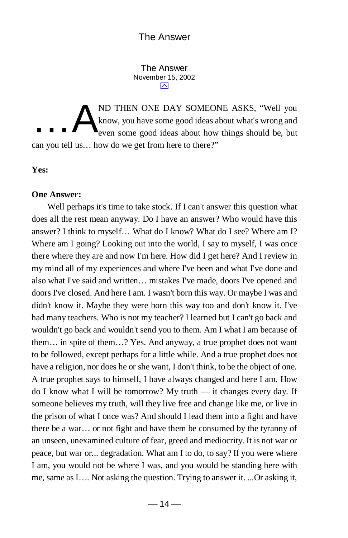<span id="page-24-0"></span>The Answer November 15, 2002 ⊠

ND THEN ONE DAY SOMEONE ASKS, "Well you know, you have some good ideas about what's wrong and even some good ideas about how things should be, but can you tell us… how do we get from here to there?" …A

**Yes:**

#### **One Answer:**

Well perhaps it's time to take stock. If I can't answer this question what does all the rest mean anyway. Do I have an answer? Who would have this answer? I think to myself… What do I know? What do I see? Where am I? Where am I going? Looking out into the world, I say to myself, I was once there where they are and now I'm here. How did I get here? And I review in my mind all of my experiences and where I've been and what I've done and also what I've said and written… mistakes I've made, doors I've opened and doors I've closed. And here I am. I wasn't born this way. Or maybe I was and didn't know it. Maybe they were born this way too and don't know it. I've had many teachers. Who is not my teacher? I learned but I can't go back and wouldn't go back and wouldn't send you to them. Am I what I am because of them… in spite of them…? Yes. And anyway, a true prophet does not want to be followed, except perhaps for a little while. And a true prophet does not have a religion, nor does he or she want, I don't think, to be the object of one. A true prophet says to himself, I have always changed and here I am. How do I know what I will be tomorrow? My truth — it changes every day. If someone believes my truth, will they live free and change like me, or live in the prison of what I once was? And should I lead them into a fight and have there be a war… or not fight and have them be consumed by the tyranny of an unseen, unexamined culture of fear, greed and mediocrity. It is not war or peace, but war or... degradation. What am I to do, to say? If you were where I am, you would not be where I was, and you would be standing here with me, same as I…. Not asking the question. Trying to answer it. ...Or asking it,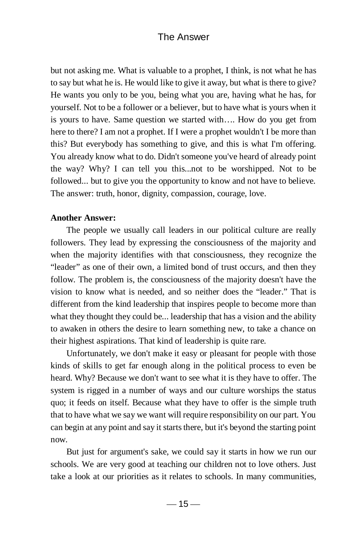but not asking me. What is valuable to a prophet, I think, is not what he has to say but what he is. He would like to give it away, but what is there to give? He wants you only to be you, being what you are, having what he has, for yourself. Not to be a follower or a believer, but to have what is yours when it is yours to have. Same question we started with…. How do you get from here to there? I am not a prophet. If I were a prophet wouldn't I be more than this? But everybody has something to give, and this is what I'm offering. You already know what to do. Didn't someone you've heard of already point the way? Why? I can tell you this...not to be worshipped. Not to be followed... but to give you the opportunity to know and not have to believe. The answer: truth, honor, dignity, compassion, courage, love.

#### **Another Answer:**

The people we usually call leaders in our political culture are really followers. They lead by expressing the consciousness of the majority and when the majority identifies with that consciousness, they recognize the "leader" as one of their own, a limited bond of trust occurs, and then they follow. The problem is, the consciousness of the majority doesn't have the vision to know what is needed, and so neither does the "leader." That is different from the kind leadership that inspires people to become more than what they thought they could be... leadership that has a vision and the ability to awaken in others the desire to learn something new, to take a chance on their highest aspirations. That kind of leadership is quite rare.

Unfortunately, we don't make it easy or pleasant for people with those kinds of skills to get far enough along in the political process to even be heard. Why? Because we don't want to see what it is they have to offer. The system is rigged in a number of ways and our culture worships the status quo; it feeds on itself. Because what they have to offer is the simple truth that to have what we say we want will require responsibility on our part. You can begin at any point and say it starts there, but it's beyond the starting point now.

But just for argument's sake, we could say it starts in how we run our schools. We are very good at teaching our children not to love others. Just take a look at our priorities as it relates to schools. In many communities,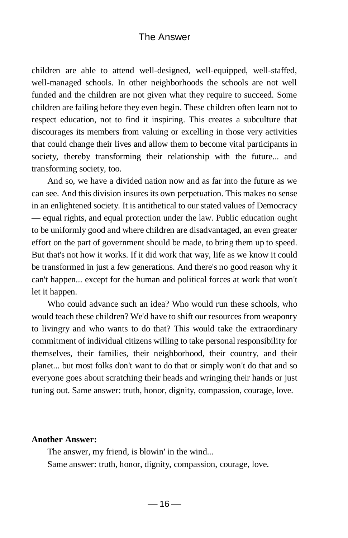children are able to attend well-designed, well-equipped, well-staffed, well-managed schools. In other neighborhoods the schools are not well funded and the children are not given what they require to succeed. Some children are failing before they even begin. These children often learn not to respect education, not to find it inspiring. This creates a subculture that discourages its members from valuing or excelling in those very activities that could change their lives and allow them to become vital participants in society, thereby transforming their relationship with the future... and transforming society, too.

And so, we have a divided nation now and as far into the future as we can see. And this division insures its own perpetuation. This makes no sense in an enlightened society. It is antithetical to our stated values of Democracy — equal rights, and equal protection under the law. Public education ought to be uniformly good and where children are disadvantaged, an even greater effort on the part of government should be made, to bring them up to speed. But that's not how it works. If it did work that way, life as we know it could be transformed in just a few generations. And there's no good reason why it can't happen... except for the human and political forces at work that won't let it happen.

Who could advance such an idea? Who would run these schools, who would teach these children? We'd have to shift our resources from weaponry to livingry and who wants to do that? This would take the extraordinary commitment of individual citizens willing to take personal responsibility for themselves, their families, their neighborhood, their country, and their planet... but most folks don't want to do that or simply won't do that and so everyone goes about scratching their heads and wringing their hands or just tuning out. Same answer: truth, honor, dignity, compassion, courage, love.

#### **Another Answer:**

The answer, my friend, is blowin' in the wind... Same answer: truth, honor, dignity, compassion, courage, love.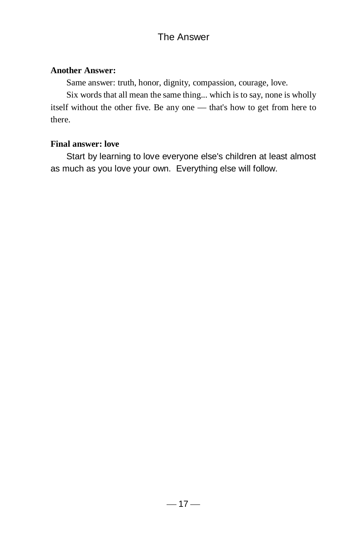#### **Another Answer:**

Same answer: truth, honor, dignity, compassion, courage, love.

Six words that all mean the same thing... which is to say, none is wholly itself without the other five. Be any one — that's how to get from here to there.

#### **Final answer: love**

 Start by learning to love everyone else's children at least almost as much as you love your own. Everything else will follow.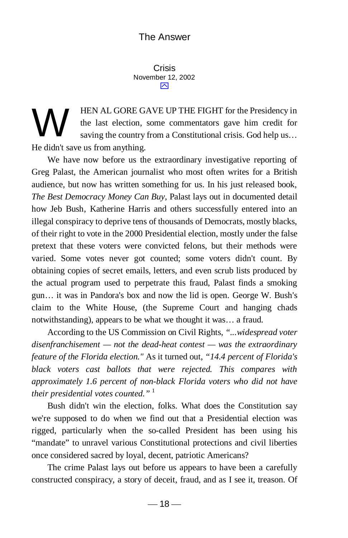<span id="page-28-0"></span>Crisis November 12, 2002  $\overline{\sim}$ 

HEN AL GORE GAVE UP THE FIGHT for the Presidency in the last election, some commentators gave him credit for saving the country from a Constitutional crisis. God help us... He didn't save us from anything. W

 We have now before us the extraordinary investigative reporting of Greg Palast, the American journalist who most often writes for a British audience, but now has written something for us. In his just released book, *The Best Democracy Money Can Buy*, Palast lays out in documented detail how Jeb Bush, Katherine Harris and others successfully entered into an illegal conspiracy to deprive tens of thousands of Democrats, mostly blacks, of their right to vote in the 2000 Presidential election, mostly under the false pretext that these voters were convicted felons, but their methods were varied. Some votes never got counted; some voters didn't count. By obtaining copies of secret emails, letters, and even scrub lists produced by the actual program used to perpetrate this fraud, Palast finds a smoking gun… it was in Pandora's box and now the lid is open. George W. Bush's claim to the White House, (the Supreme Court and hanging chads notwithstanding), appears to be what we thought it was… a fraud.

 According to the US Commission on Civil Rights, *"...widespread voter disenfranchisement — not the dead-heat contest — was the extraordinary feature of the Florida election."* As it turned out, *"14.4 percent of Florida's black voters cast ballots that were rejected. This compares with approximately 1.6 percent of non-black Florida voters who did not have their presidential votes counted.*"<sup>1</sup>

 Bush didn't win the election, folks. What does the Constitution say we're supposed to do when we find out that a Presidential election was rigged, particularly when the so-called President has been using his "mandate" to unravel various Constitutional protections and civil liberties once considered sacred by loyal, decent, patriotic Americans?

 The crime Palast lays out before us appears to have been a carefully constructed conspiracy, a story of deceit, fraud, and as I see it, treason. Of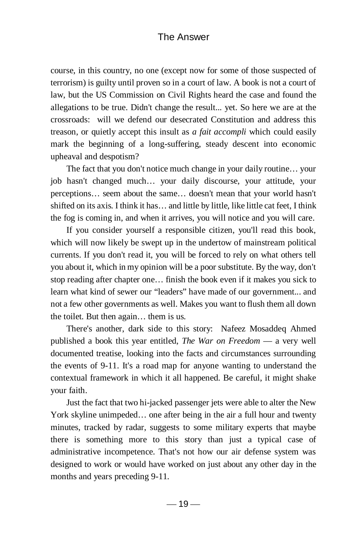course, in this country, no one (except now for some of those suspected of terrorism) is guilty until proven so in a court of law. A book is not a court of law, but the US Commission on Civil Rights heard the case and found the allegations to be true. Didn't change the result... yet. So here we are at the crossroads: will we defend our desecrated Constitution and address this treason, or quietly accept this insult as *a fait accompli* which could easily mark the beginning of a long-suffering, steady descent into economic upheaval and despotism?

 The fact that you don't notice much change in your daily routine… your job hasn't changed much… your daily discourse, your attitude, your perceptions… seem about the same… doesn't mean that your world hasn't shifted on its axis. I think it has… and little by little, like little cat feet, I think the fog is coming in, and when it arrives, you will notice and you will care.

 If you consider yourself a responsible citizen, you'll read this book, which will now likely be swept up in the undertow of mainstream political currents. If you don't read it, you will be forced to rely on what others tell you about it, which in my opinion will be a poor substitute. By the way, don't stop reading after chapter one… finish the book even if it makes you sick to learn what kind of sewer our "leaders" have made of our government... and not a few other governments as well. Makes you want to flush them all down the toilet. But then again… them is us.

 There's another, dark side to this story: Nafeez Mosaddeq Ahmed published a book this year entitled, *The War on Freedom* — a very well documented treatise, looking into the facts and circumstances surrounding the events of 9-11. It's a road map for anyone wanting to understand the contextual framework in which it all happened. Be careful, it might shake your faith.

 Just the fact that two hi-jacked passenger jets were able to alter the New York skyline unimpeded… one after being in the air a full hour and twenty minutes, tracked by radar, suggests to some military experts that maybe there is something more to this story than just a typical case of administrative incompetence. That's not how our air defense system was designed to work or would have worked on just about any other day in the months and years preceding 9-11.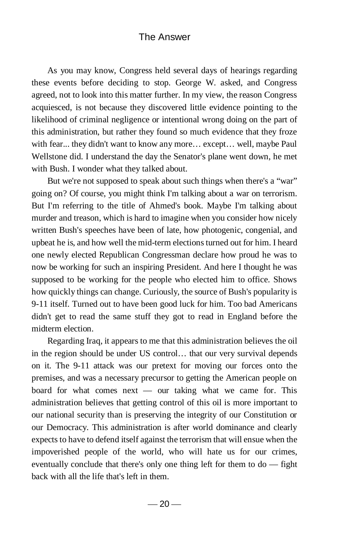As you may know, Congress held several days of hearings regarding these events before deciding to stop. George W. asked, and Congress agreed, not to look into this matter further. In my view, the reason Congress acquiesced, is not because they discovered little evidence pointing to the likelihood of criminal negligence or intentional wrong doing on the part of this administration, but rather they found so much evidence that they froze with fear... they didn't want to know any more… except… well, maybe Paul Wellstone did. I understand the day the Senator's plane went down, he met with Bush. I wonder what they talked about.

 But we're not supposed to speak about such things when there's a "war" going on? Of course, you might think I'm talking about a war on terrorism. But I'm referring to the title of Ahmed's book. Maybe I'm talking about murder and treason, which is hard to imagine when you consider how nicely written Bush's speeches have been of late, how photogenic, congenial, and upbeat he is, and how well the mid-term elections turned out for him. I heard one newly elected Republican Congressman declare how proud he was to now be working for such an inspiring President. And here I thought he was supposed to be working for the people who elected him to office. Shows how quickly things can change. Curiously, the source of Bush's popularity is 9-11 itself. Turned out to have been good luck for him. Too bad Americans didn't get to read the same stuff they got to read in England before the midterm election.

 Regarding Iraq, it appears to me that this administration believes the oil in the region should be under US control… that our very survival depends on it. The 9-11 attack was our pretext for moving our forces onto the premises, and was a necessary precursor to getting the American people on board for what comes next — our taking what we came for. This administration believes that getting control of this oil is more important to our national security than is preserving the integrity of our Constitution or our Democracy. This administration is after world dominance and clearly expects to have to defend itself against the terrorism that will ensue when the impoverished people of the world, who will hate us for our crimes, eventually conclude that there's only one thing left for them to do — fight back with all the life that's left in them.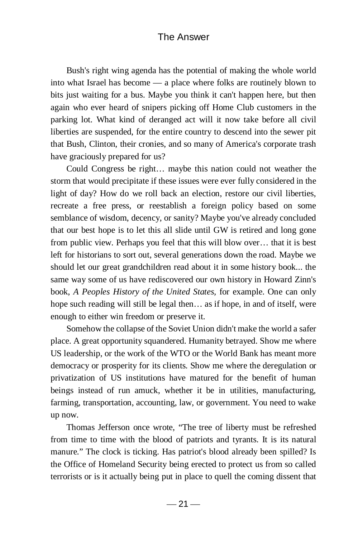Bush's right wing agenda has the potential of making the whole world into what Israel has become — a place where folks are routinely blown to bits just waiting for a bus. Maybe you think it can't happen here, but then again who ever heard of snipers picking off Home Club customers in the parking lot. What kind of deranged act will it now take before all civil liberties are suspended, for the entire country to descend into the sewer pit that Bush, Clinton, their cronies, and so many of America's corporate trash have graciously prepared for us?

 Could Congress be right… maybe this nation could not weather the storm that would precipitate if these issues were ever fully considered in the light of day? How do we roll back an election, restore our civil liberties, recreate a free press, or reestablish a foreign policy based on some semblance of wisdom, decency, or sanity? Maybe you've already concluded that our best hope is to let this all slide until GW is retired and long gone from public view. Perhaps you feel that this will blow over… that it is best left for historians to sort out, several generations down the road. Maybe we should let our great grandchildren read about it in some history book... the same way some of us have rediscovered our own history in Howard Zinn's book, *A Peoples History of the United States,* for example. One can only hope such reading will still be legal then... as if hope, in and of itself, were enough to either win freedom or preserve it.

 Somehow the collapse of the Soviet Union didn't make the world a safer place. A great opportunity squandered. Humanity betrayed. Show me where US leadership, or the work of the WTO or the World Bank has meant more democracy or prosperity for its clients. Show me where the deregulation or privatization of US institutions have matured for the benefit of human beings instead of run amuck, whether it be in utilities, manufacturing, farming, transportation, accounting, law, or government. You need to wake up now.

 Thomas Jefferson once wrote, "The tree of liberty must be refreshed from time to time with the blood of patriots and tyrants. It is its natural manure." The clock is ticking. Has patriot's blood already been spilled? Is the Office of Homeland Security being erected to protect us from so called terrorists or is it actually being put in place to quell the coming dissent that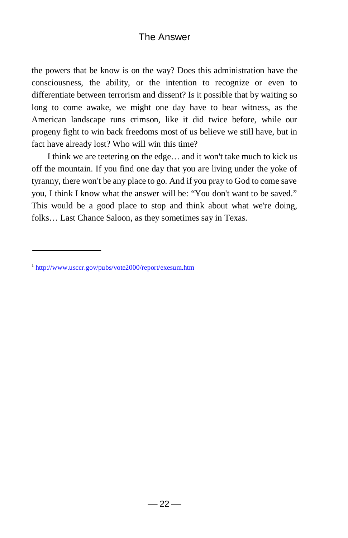the powers that be know is on the way? Does this administration have the consciousness, the ability, or the intention to recognize or even to differentiate between terrorism and dissent? Is it possible that by waiting so long to come awake, we might one day have to bear witness, as the American landscape runs crimson, like it did twice before, while our progeny fight to win back freedoms most of us believe we still have, but in fact have already lost? Who will win this time?

 I think we are teetering on the edge… and it won't take much to kick us off the mountain. If you find one day that you are living under the yoke of tyranny, there won't be any place to go. And if you pray to God to come save you, I think I know what the answer will be: "You don't want to be saved." This would be a good place to stop and think about what we're doing, folks… Last Chance Saloon, as they sometimes say in Texas.

<sup>&</sup>lt;sup>1</sup> <http://www.usccr.gov/pubs/vote2000/report/exesum.htm>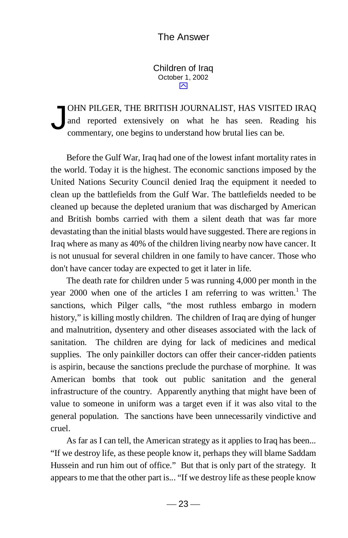<span id="page-33-0"></span>Children of Iraq October 1, 2002  $\overline{\mathsf{M}}$ 

OHN PILGER, THE BRITISH JOURNALIST, HAS VISITED IRAQ and reported extensively on what he has seen. Reading his commentary, one begins to understand how brutal lies can be. J

 Before the Gulf War, Iraq had one of the lowest infant mortality rates in the world. Today it is the highest. The economic sanctions imposed by the United Nations Security Council denied Iraq the equipment it needed to clean up the battlefields from the Gulf War. The battlefields needed to be cleaned up because the depleted uranium that was discharged by American and British bombs carried with them a silent death that was far more devastating than the initial blasts would have suggested. There are regions in Iraq where as many as 40% of the children living nearby now have cancer. It is not unusual for several children in one family to have cancer. Those who don't have cancer today are expected to get it later in life.

 The death rate for children under 5 was running 4,000 per month in the year 2000 when one of the articles I am referring to was written.<sup>1</sup> The sanctions, which Pilger calls, "the most ruthless embargo in modern history," is killing mostly children. The children of Iraq are dying of hunger and malnutrition, dysentery and other diseases associated with the lack of sanitation. The children are dying for lack of medicines and medical supplies. The only painkiller doctors can offer their cancer-ridden patients is aspirin, because the sanctions preclude the purchase of morphine. It was American bombs that took out public sanitation and the general infrastructure of the country. Apparently anything that might have been of value to someone in uniform was a target even if it was also vital to the general population. The sanctions have been unnecessarily vindictive and cruel.

 As far as I can tell, the American strategy as it applies to Iraq has been... "If we destroy life, as these people know it, perhaps they will blame Saddam Hussein and run him out of office." But that is only part of the strategy. It appears to me that the other part is... "If we destroy life as these people know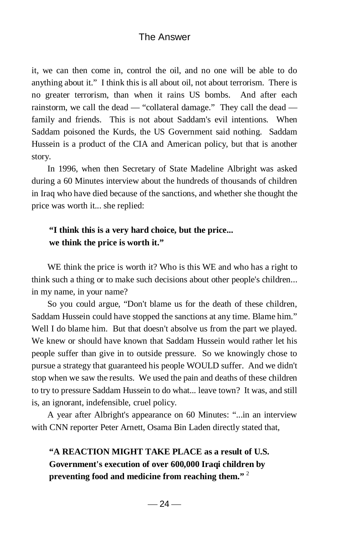it, we can then come in, control the oil, and no one will be able to do anything about it." I think this is all about oil, not about terrorism. There is no greater terrorism, than when it rains US bombs. And after each rainstorm, we call the dead — "collateral damage." They call the dead family and friends. This is not about Saddam's evil intentions. When Saddam poisoned the Kurds, the US Government said nothing. Saddam Hussein is a product of the CIA and American policy, but that is another story.

 In 1996, when then Secretary of State Madeline Albright was asked during a 60 Minutes interview about the hundreds of thousands of children in Iraq who have died because of the sanctions, and whether she thought the price was worth it... she replied:

#### **"I think this is a very hard choice, but the price... we think the price is worth it."**

WE think the price is worth it? Who is this WE and who has a right to think such a thing or to make such decisions about other people's children... in my name, in your name?

 So you could argue, "Don't blame us for the death of these children, Saddam Hussein could have stopped the sanctions at any time. Blame him." Well I do blame him. But that doesn't absolve us from the part we played. We knew or should have known that Saddam Hussein would rather let his people suffer than give in to outside pressure. So we knowingly chose to pursue a strategy that guaranteed his people WOULD suffer. And we didn't stop when we saw the results. We used the pain and deaths of these children to try to pressure Saddam Hussein to do what... leave town? It was, and still is, an ignorant, indefensible, cruel policy.

 A year after Albright's appearance on 60 Minutes: "...in an interview with CNN reporter Peter Arnett, Osama Bin Laden directly stated that,

# **"A REACTION MIGHT TAKE PLACE as a result of U.S. Government's execution of over 600,000 Iraqi children by preventing food and medicine from reaching them."** <sup>2</sup>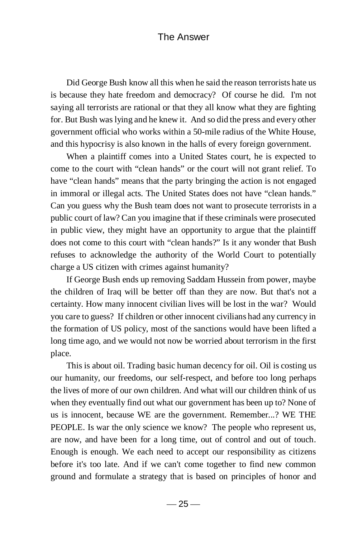Did George Bush know all this when he said the reason terrorists hate us is because they hate freedom and democracy? Of course he did. I'm not saying all terrorists are rational or that they all know what they are fighting for. But Bush was lying and he knew it. And so did the press and every other government official who works within a 50-mile radius of the White House, and this hypocrisy is also known in the halls of every foreign government.

 When a plaintiff comes into a United States court, he is expected to come to the court with "clean hands" or the court will not grant relief. To have "clean hands" means that the party bringing the action is not engaged in immoral or illegal acts. The United States does not have "clean hands." Can you guess why the Bush team does not want to prosecute terrorists in a public court of law? Can you imagine that if these criminals were prosecuted in public view, they might have an opportunity to argue that the plaintiff does not come to this court with "clean hands?" Is it any wonder that Bush refuses to acknowledge the authority of the World Court to potentially charge a US citizen with crimes against humanity?

 If George Bush ends up removing Saddam Hussein from power, maybe the children of Iraq will be better off than they are now. But that's not a certainty. How many innocent civilian lives will be lost in the war? Would you care to guess? If children or other innocent civilians had any currency in the formation of US policy, most of the sanctions would have been lifted a long time ago, and we would not now be worried about terrorism in the first place.

 This is about oil. Trading basic human decency for oil. Oil is costing us our humanity, our freedoms, our self-respect, and before too long perhaps the lives of more of our own children. And what will our children think of us when they eventually find out what our government has been up to? None of us is innocent, because WE are the government. Remember...? WE THE PEOPLE. Is war the only science we know? The people who represent us, are now, and have been for a long time, out of control and out of touch. Enough is enough. We each need to accept our responsibility as citizens before it's too late. And if we can't come together to find new common ground and formulate a strategy that is based on principles of honor and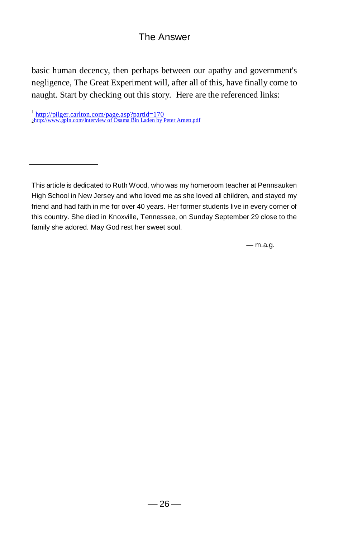basic human decency, then perhaps between our apathy and government's negligence, The Great Experiment will, after all of this, have finally come to naught. Start by checking out this story. Here are the referenced links:

— m.a.g.

<sup>&</sup>lt;sup>1</sup> <http://pilger.carlton.com/page.asp?partid=170><br><sub>2</sub>[http://www.gpln.com/Interview of Osama Bin Laden by Peter Arnett.pdf](http://www.gpln.com/Interview%20of%20Osama%20Bin%20Laden%20by%20Peter%20Arnett.pdf)

This article is dedicated to Ruth Wood, who was my homeroom teacher at Pennsauken High School in New Jersey and who loved me as she loved all children, and stayed my friend and had faith in me for over 40 years. Her former students live in every corner of this country. She died in Knoxville, Tennessee, on Sunday September 29 close to the family she adored. May God rest her sweet soul.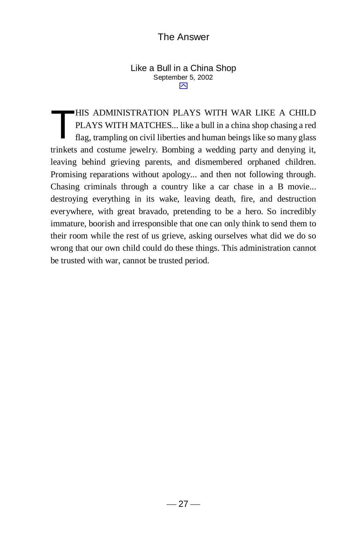#### Like a Bull in a China Shop September 5, 2002  $\overline{\mathsf{M}}$

HIS ADMINISTRATION PLAYS WITH WAR LIKE A CHILD PLAYS WITH MATCHES... like a bull in a china shop chasing a red flag, trampling on civil liberties and human beings like so many glass trinkets and costume jewelry. Bombing a wedding party and denying it, leaving behind grieving parents, and dismembered orphaned children. Promising reparations without apology... and then not following through. Chasing criminals through a country like a car chase in a B movie... destroying everything in its wake, leaving death, fire, and destruction everywhere, with great bravado, pretending to be a hero. So incredibly immature, boorish and irresponsible that one can only think to send them to their room while the rest of us grieve, asking ourselves what did we do so wrong that our own child could do these things. This administration cannot be trusted with war, cannot be trusted period. T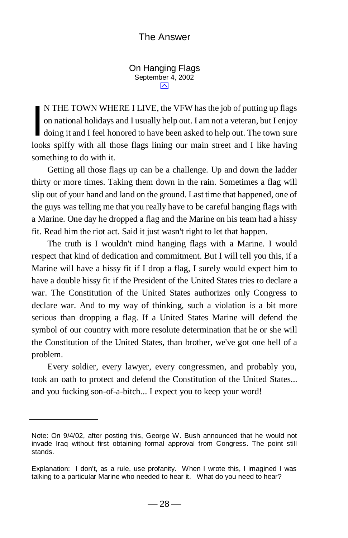On Hanging Flags September 4, 2002 ⊠

N THE TOWN WHERE I LIVE, the VFW has the job of putting up flags on national holidays and I usually help out. I am not a veteran, but I enjoy doing it and I feel honored to have been asked to help out. The town sure looks spiffy with all those flags lining our main street and I like having something to do with it. I

 Getting all those flags up can be a challenge. Up and down the ladder thirty or more times. Taking them down in the rain. Sometimes a flag will slip out of your hand and land on the ground. Last time that happened, one of the guys was telling me that you really have to be careful hanging flags with a Marine. One day he dropped a flag and the Marine on his team had a hissy fit. Read him the riot act. Said it just wasn't right to let that happen.

 The truth is I wouldn't mind hanging flags with a Marine. I would respect that kind of dedication and commitment. But I will tell you this, if a Marine will have a hissy fit if I drop a flag, I surely would expect him to have a double hissy fit if the President of the United States tries to declare a war. The Constitution of the United States authorizes only Congress to declare war. And to my way of thinking, such a violation is a bit more serious than dropping a flag. If a United States Marine will defend the symbol of our country with more resolute determination that he or she will the Constitution of the United States, than brother, we've got one hell of a problem.

 Every soldier, every lawyer, every congressmen, and probably you, took an oath to protect and defend the Constitution of the United States... and you fucking son-of-a-bitch... I expect you to keep your word!

Note: On 9/4/02, after posting this, George W. Bush announced that he would not invade Iraq without first obtaining formal approval from Congress. The point still stands.

Explanation: I don't, as a rule, use profanity. When I wrote this, I imagined I was talking to a particular Marine who needed to hear it. What do you need to hear?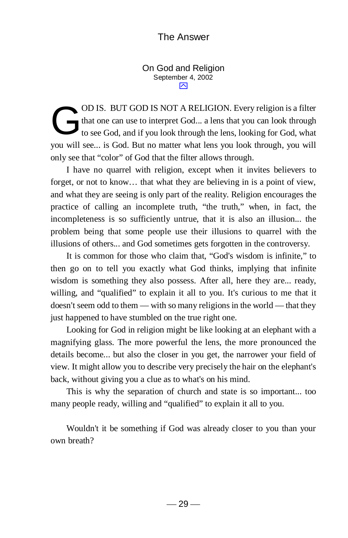On God and Religion September 4, 2002 ⊠

OD IS. BUT GOD IS NOT A RELIGION. Every religion is a filter that one can use to interpret God... a lens that you can look through to see God, and if you look through the lens, looking for God, what you will see... is God. But no matter what lens you look through, you will only see that "color" of God that the filter allows through. G

I have no quarrel with religion, except when it invites believers to forget, or not to know… that what they are believing in is a point of view, and what they are seeing is only part of the reality. Religion encourages the practice of calling an incomplete truth, "the truth," when, in fact, the incompleteness is so sufficiently untrue, that it is also an illusion... the problem being that some people use their illusions to quarrel with the illusions of others... and God sometimes gets forgotten in the controversy.

 It is common for those who claim that, "God's wisdom is infinite," to then go on to tell you exactly what God thinks, implying that infinite wisdom is something they also possess. After all, here they are... ready, willing, and "qualified" to explain it all to you. It's curious to me that it doesn't seem odd to them — with so many religions in the world — that they just happened to have stumbled on the true right one.

 Looking for God in religion might be like looking at an elephant with a magnifying glass. The more powerful the lens, the more pronounced the details become... but also the closer in you get, the narrower your field of view. It might allow you to describe very precisely the hair on the elephant's back, without giving you a clue as to what's on his mind.

 This is why the separation of church and state is so important... too many people ready, willing and "qualified" to explain it all to you.

Wouldn't it be something if God was already closer to you than your own breath?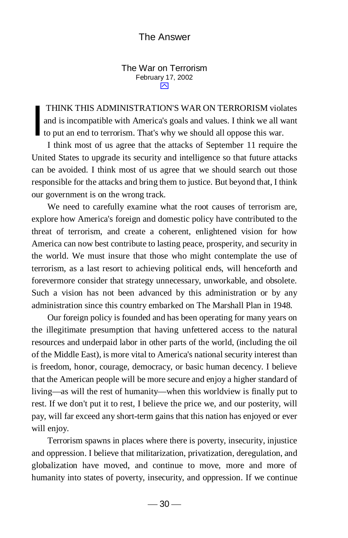#### The War on Terrorism February 17, 2002  $\overline{\sim}$

THINK THIS ADMINISTRATION'S WAR ON TERRORISM violates and is incompatible with America's goals and values. I think we all want to put an end to terrorism. That's why we should all oppose this war. I

 I think most of us agree that the attacks of September 11 require the United States to upgrade its security and intelligence so that future attacks can be avoided. I think most of us agree that we should search out those responsible for the attacks and bring them to justice. But beyond that, I think our government is on the wrong track.

 We need to carefully examine what the root causes of terrorism are, explore how America's foreign and domestic policy have contributed to the threat of terrorism, and create a coherent, enlightened vision for how America can now best contribute to lasting peace, prosperity, and security in the world. We must insure that those who might contemplate the use of terrorism, as a last resort to achieving political ends, will henceforth and forevermore consider that strategy unnecessary, unworkable, and obsolete. Such a vision has not been advanced by this administration or by any administration since this country embarked on The Marshall Plan in 1948.

 Our foreign policy is founded and has been operating for many years on the illegitimate presumption that having unfettered access to the natural resources and underpaid labor in other parts of the world, (including the oil of the Middle East), is more vital to America's national security interest than is freedom, honor, courage, democracy, or basic human decency. I believe that the American people will be more secure and enjoy a higher standard of living—as will the rest of humanity—when this worldview is finally put to rest. If we don't put it to rest, I believe the price we, and our posterity, will pay, will far exceed any short-term gains that this nation has enjoyed or ever will enjoy.

 Terrorism spawns in places where there is poverty, insecurity, injustice and oppression. I believe that militarization, privatization, deregulation, and globalization have moved, and continue to move, more and more of humanity into states of poverty, insecurity, and oppression. If we continue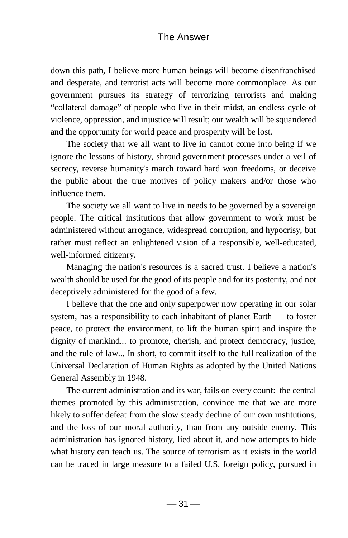down this path, I believe more human beings will become disenfranchised and desperate, and terrorist acts will become more commonplace. As our government pursues its strategy of terrorizing terrorists and making "collateral damage" of people who live in their midst, an endless cycle of violence, oppression, and injustice will result; our wealth will be squandered and the opportunity for world peace and prosperity will be lost.

 The society that we all want to live in cannot come into being if we ignore the lessons of history, shroud government processes under a veil of secrecy, reverse humanity's march toward hard won freedoms, or deceive the public about the true motives of policy makers and/or those who influence them.

 The society we all want to live in needs to be governed by a sovereign people. The critical institutions that allow government to work must be administered without arrogance, widespread corruption, and hypocrisy, but rather must reflect an enlightened vision of a responsible, well-educated, well-informed citizenry.

 Managing the nation's resources is a sacred trust. I believe a nation's wealth should be used for the good of its people and for its posterity, and not deceptively administered for the good of a few.

 I believe that the one and only superpower now operating in our solar system, has a responsibility to each inhabitant of planet Earth — to foster peace, to protect the environment, to lift the human spirit and inspire the dignity of mankind... to promote, cherish, and protect democracy, justice, and the rule of law... In short, to commit itself to the full realization of the Universal Declaration of Human Rights as adopted by the United Nations General Assembly in 1948.

 The current administration and its war, fails on every count: the central themes promoted by this administration, convince me that we are more likely to suffer defeat from the slow steady decline of our own institutions, and the loss of our moral authority, than from any outside enemy. This administration has ignored history, lied about it, and now attempts to hide what history can teach us. The source of terrorism as it exists in the world can be traced in large measure to a failed U.S. foreign policy, pursued in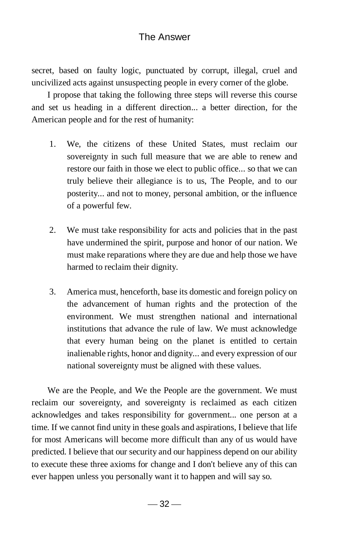secret, based on faulty logic, punctuated by corrupt, illegal, cruel and uncivilized acts against unsuspecting people in every corner of the globe.

 I propose that taking the following three steps will reverse this course and set us heading in a different direction... a better direction, for the American people and for the rest of humanity:

- 1. We, the citizens of these United States, must reclaim our sovereignty in such full measure that we are able to renew and restore our faith in those we elect to public office... so that we can truly believe their allegiance is to us, The People, and to our posterity... and not to money, personal ambition, or the influence of a powerful few.
- 2. We must take responsibility for acts and policies that in the past have undermined the spirit, purpose and honor of our nation. We must make reparations where they are due and help those we have harmed to reclaim their dignity.
- 3. America must, henceforth, base its domestic and foreign policy on the advancement of human rights and the protection of the environment. We must strengthen national and international institutions that advance the rule of law. We must acknowledge that every human being on the planet is entitled to certain inalienable rights, honor and dignity... and every expression of our national sovereignty must be aligned with these values.

 We are the People, and We the People are the government. We must reclaim our sovereignty, and sovereignty is reclaimed as each citizen acknowledges and takes responsibility for government... one person at a time. If we cannot find unity in these goals and aspirations, I believe that life for most Americans will become more difficult than any of us would have predicted. I believe that our security and our happiness depend on our ability to execute these three axioms for change and I don't believe any of this can ever happen unless you personally want it to happen and will say so.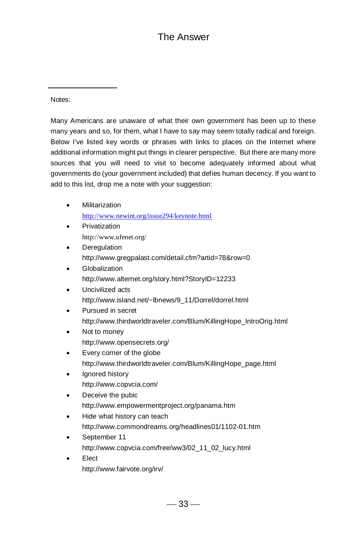Notes:

Many Americans are unaware of what their own government has been up to these many years and so, for them, what I have to say may seem totally radical and foreign. Below I've listed key words or phrases with links to places on the Internet where additional information might put things in clearer perspective. But there are many more sources that you will need to visit to become adequately informed about what governments do (your government included) that defies human decency. If you want to add to this list, drop me a note with your suggestion:

- Militarization <http://www.newint.org/issue294/keynote.html>
- Privatization http://www.ufenet.org/
- Deregulation http://www.gregpalast.com/detail.cfm?artid=78&row=0
- **Globalization** http://www.alternet.org/story.html?StoryID=12233
- Uncivilized acts http://www.island.net/~lbnews/9\_11/Dorrel/dorrel.html
- Pursued in secret http://www.thirdworldtraveler.com/Blum/KillingHope\_IntroOrig.html
- Not to money http://www.opensecrets.org/
- Every corner of the globe http://www.thirdworldtraveler.com/Blum/KillingHope\_page.html
- Ignored history http://www.copvcia.com/
- Deceive the pubic http://www.empowermentproject.org/panama.htm
- Hide what history can teach http://www.commondreams.org/headlines01/1102-01.htm
- September 11 http://www.copvcia.com/free/ww3/02\_11\_02\_lucy.html
- **Elect** http://www.fairvote.org/irv/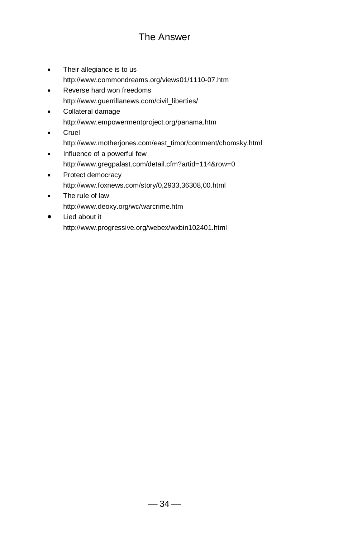- Their allegiance is to us http://www.commondreams.org/views01/1110-07.htm
- Reverse hard won freedoms http://www.guerrillanews.com/civil\_liberties/
- Collateral damage http://www.empowermentproject.org/panama.htm
- Cruel http://www.motherjones.com/east\_timor/comment/chomsky.html
- Influence of a powerful few http://www.gregpalast.com/detail.cfm?artid=114&row=0
- Protect democracy http://www.foxnews.com/story/0,2933,36308,00.html
- The rule of law <http://www.deoxy.org/wc/warcrime.htm>
- $\bullet$  Lied about it http://www.progressive.org/webex/wxbin102401.html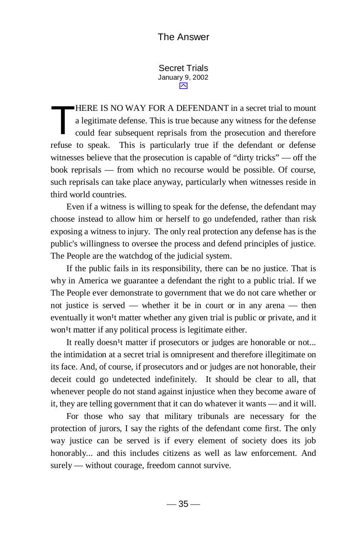Secret Trials January 9, 2002 ⊠

HERE IS NO WAY FOR A DEFENDANT in a secret trial to mount a legitimate defense. This is true because any witness for the defense could fear subsequent reprisals from the prosecution and therefore refuse to speak. This is particularly true if the defendant or defense witnesses believe that the prosecution is capable of "dirty tricks" — off the book reprisals — from which no recourse would be possible. Of course, such reprisals can take place anyway, particularly when witnesses reside in third world countries. T

 Even if a witness is willing to speak for the defense, the defendant may choose instead to allow him or herself to go undefended, rather than risk exposing a witness to injury. The only real protection any defense has is the public's willingness to oversee the process and defend principles of justice. The People are the watchdog of the judicial system.

 If the public fails in its responsibility, there can be no justice. That is why in America we guarantee a defendant the right to a public trial. If we The People ever demonstrate to government that we do not care whether or not justice is served — whether it be in court or in any arena — then eventually it won<sup>1</sup>t matter whether any given trial is public or private, and it won<sup>1</sup>t matter if any political process is legitimate either.

It really doesn<sup>1</sup>t matter if prosecutors or judges are honorable or not... the intimidation at a secret trial is omnipresent and therefore illegitimate on its face. And, of course, if prosecutors and or judges are not honorable, their deceit could go undetected indefinitely. It should be clear to all, that whenever people do not stand against injustice when they become aware of it, they are telling government that it can do whatever it wants — and it will.

 For those who say that military tribunals are necessary for the protection of jurors, I say the rights of the defendant come first. The only way justice can be served is if every element of society does its job honorably... and this includes citizens as well as law enforcement. And surely — without courage, freedom cannot survive.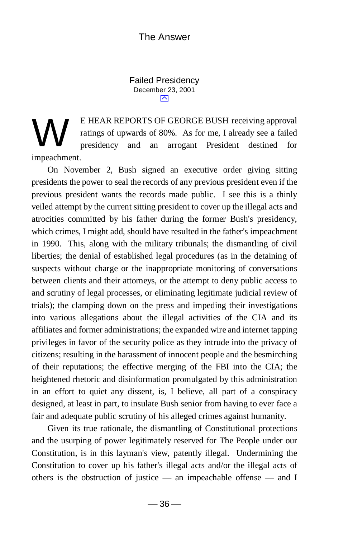Failed Presidency December 23, 2001  $\overline{\triangleright}$ 

E HEAR REPORTS OF GEORGE BUSH receiving approval ratings of upwards of 80%. As for me, I already see a failed presidency and an arrogant President destined for impeachment. W

 On November 2, Bush signed an executive order giving sitting presidents the power to seal the records of any previous president even if the previous president wants the records made public. I see this is a thinly veiled attempt by the current sitting president to cover up the illegal acts and atrocities committed by his father during the former Bush's presidency, which crimes, I might add, should have resulted in the father's impeachment in 1990. This, along with the military tribunals; the dismantling of civil liberties; the denial of established legal procedures (as in the detaining of suspects without charge or the inappropriate monitoring of conversations between clients and their attorneys, or the attempt to deny public access to and scrutiny of legal processes, or eliminating legitimate judicial review of trials); the clamping down on the press and impeding their investigations into various allegations about the illegal activities of the CIA and its affiliates and former administrations; the expanded wire and internet tapping privileges in favor of the security police as they intrude into the privacy of citizens; resulting in the harassment of innocent people and the besmirching of their reputations; the effective merging of the FBI into the CIA; the heightened rhetoric and disinformation promulgated by this administration in an effort to quiet any dissent, is, I believe, all part of a conspiracy designed, at least in part, to insulate Bush senior from having to ever face a fair and adequate public scrutiny of his alleged crimes against humanity.

 Given its true rationale, the dismantling of Constitutional protections and the usurping of power legitimately reserved for The People under our Constitution, is in this layman's view, patently illegal. Undermining the Constitution to cover up his father's illegal acts and/or the illegal acts of others is the obstruction of justice — an impeachable offense — and I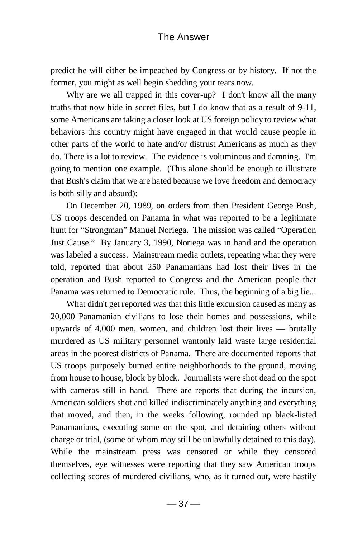predict he will either be impeached by Congress or by history. If not the former, you might as well begin shedding your tears now.

Why are we all trapped in this cover-up? I don't know all the many truths that now hide in secret files, but I do know that as a result of 9-11, some Americans are taking a closer look at US foreign policy to review what behaviors this country might have engaged in that would cause people in other parts of the world to hate and/or distrust Americans as much as they do. There is a lot to review. The evidence is voluminous and damning. I'm going to mention one example. (This alone should be enough to illustrate that Bush's claim that we are hated because we love freedom and democracy is both silly and absurd):

 On December 20, 1989, on orders from then President George Bush, US troops descended on Panama in what was reported to be a legitimate hunt for "Strongman" Manuel Noriega. The mission was called "Operation Just Cause." By January 3, 1990, Noriega was in hand and the operation was labeled a success. Mainstream media outlets, repeating what they were told, reported that about 250 Panamanians had lost their lives in the operation and Bush reported to Congress and the American people that Panama was returned to Democratic rule. Thus, the beginning of a big lie...

 What didn't get reported was that this little excursion caused as many as 20,000 Panamanian civilians to lose their homes and possessions, while upwards of 4,000 men, women, and children lost their lives — brutally murdered as US military personnel wantonly laid waste large residential areas in the poorest districts of Panama. There are documented reports that US troops purposely burned entire neighborhoods to the ground, moving from house to house, block by block. Journalists were shot dead on the spot with cameras still in hand. There are reports that during the incursion, American soldiers shot and killed indiscriminately anything and everything that moved, and then, in the weeks following, rounded up black-listed Panamanians, executing some on the spot, and detaining others without charge or trial, (some of whom may still be unlawfully detained to this day). While the mainstream press was censored or while they censored themselves, eye witnesses were reporting that they saw American troops collecting scores of murdered civilians, who, as it turned out, were hastily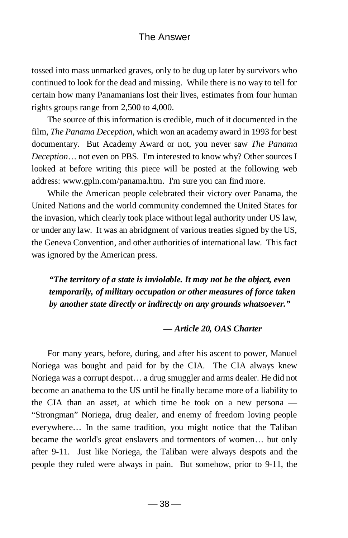tossed into mass unmarked graves, only to be dug up later by survivors who continued to look for the dead and missing. While there is no way to tell for certain how many Panamanians lost their lives, estimates from four human rights groups range from 2,500 to 4,000.

The source of this information is credible, much of it documented in the film, *The Panama Deception*, which won an academy award in 1993 for best documentary. But Academy Award or not, you never saw *The Panama Deception*… not even on PBS. I'm interested to know why? Other sources I looked at before writing this piece will be posted at the following web address: www.gpln.com/panama.htm. I'm sure you can find more.

 While the American people celebrated their victory over Panama, the United Nations and the world community condemned the United States for the invasion, which clearly took place without legal authority under US law, or under any law. It was an abridgment of various treaties signed by the US, the Geneva Convention, and other authorities of international law. This fact was ignored by the American press.

*"The territory of a state is inviolable. It may not be the object, even temporarily, of military occupation or other measures of force taken by another state directly or indirectly on any grounds whatsoever."*

#### *— Article 20, OAS Charter*

 For many years, before, during, and after his ascent to power, Manuel Noriega was bought and paid for by the CIA. The CIA always knew Noriega was a corrupt despot… a drug smuggler and arms dealer. He did not become an anathema to the US until he finally became more of a liability to the CIA than an asset, at which time he took on a new persona — "Strongman" Noriega, drug dealer, and enemy of freedom loving people everywhere… In the same tradition, you might notice that the Taliban became the world's great enslavers and tormentors of women… but only after 9-11. Just like Noriega, the Taliban were always despots and the people they ruled were always in pain. But somehow, prior to 9-11, the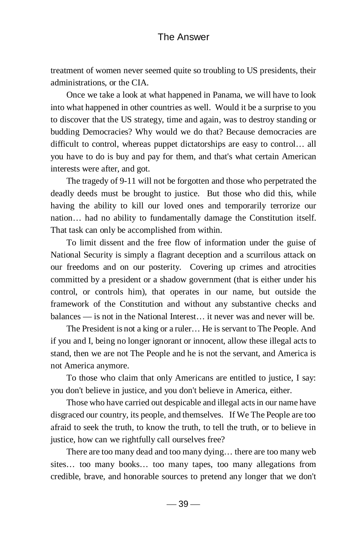treatment of women never seemed quite so troubling to US presidents, their administrations, or the CIA.

 Once we take a look at what happened in Panama, we will have to look into what happened in other countries as well. Would it be a surprise to you to discover that the US strategy, time and again, was to destroy standing or budding Democracies? Why would we do that? Because democracies are difficult to control, whereas puppet dictatorships are easy to control… all you have to do is buy and pay for them, and that's what certain American interests were after, and got.

 The tragedy of 9-11 will not be forgotten and those who perpetrated the deadly deeds must be brought to justice. But those who did this, while having the ability to kill our loved ones and temporarily terrorize our nation… had no ability to fundamentally damage the Constitution itself. That task can only be accomplished from within.

 To limit dissent and the free flow of information under the guise of National Security is simply a flagrant deception and a scurrilous attack on our freedoms and on our posterity. Covering up crimes and atrocities committed by a president or a shadow government (that is either under his control, or controls him), that operates in our name, but outside the framework of the Constitution and without any substantive checks and balances — is not in the National Interest… it never was and never will be.

 The President is not a king or a ruler… He is servant to The People. And if you and I, being no longer ignorant or innocent, allow these illegal acts to stand, then we are not The People and he is not the servant, and America is not America anymore.

 To those who claim that only Americans are entitled to justice, I say: you don't believe in justice, and you don't believe in America, either.

 Those who have carried out despicable and illegal acts in our name have disgraced our country, its people, and themselves. If We The People are too afraid to seek the truth, to know the truth, to tell the truth, or to believe in justice, how can we rightfully call ourselves free?

 There are too many dead and too many dying… there are too many web sites… too many books… too many tapes, too many allegations from credible, brave, and honorable sources to pretend any longer that we don't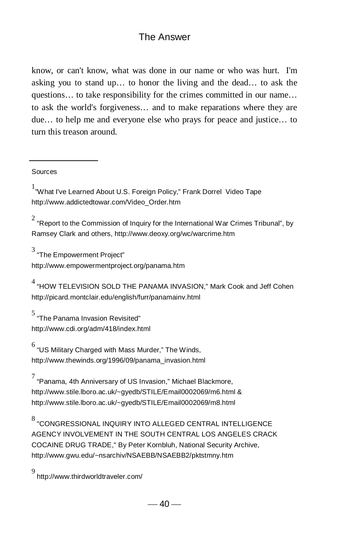know, or can't know, what was done in our name or who was hurt. I'm asking you to stand up… to honor the living and the dead… to ask the questions… to take responsibility for the crimes committed in our name… to ask the world's forgiveness… and to make reparations where they are due… to help me and everyone else who prays for peace and justice… to turn this treason around.

Sources

<sup>1</sup>"What I've Learned About U.S. Foreign Policy," Frank Dorrel Video Tape http://www.addictedtowar.com/Video\_Order.htm

 $^2$  "Report to the Commission of Inquiry for the International War Crimes Tribunal", by Ramsey Clark and others, http://www.deoxy.org/wc/warcrime.htm

 $^3$  "The Empowerment Project"

http://www.empowermentproject.org/panama.htm

 $^4$  "HOW TELEVISION SOLD THE PANAMA INVASION," Mark Cook and Jeff Cohen http://picard.montclair.edu/english/furr/panamainv.html

5 "The Panama Invasion Revisited" http://www.cdi.org/adm/418/index.html

 $^6$  "US Military Charged with Mass Murder," The Winds, http://www.thewinds.org/1996/09/panama\_invasion.html

7 "Panama, 4th Anniversary of US Invasion," Michael Blackmore, http://www.stile.lboro.ac.uk/~gyedb/STILE/Email0002069/m6.html & http://www.stile.lboro.ac.uk/~gyedb/STILE/Email0002069/m8.html

 $^8$  "CONGRESSIONAL INQUIRY INTO ALLEGED CENTRAL INTELLIGENCE AGENCY INVOLVEMENT IN THE SOUTH CENTRAL LOS ANGFI FS CRACK COCAINE DRUG TRADE," By Peter Kornbluh, National Security Archive, http://www.gwu.edu/~nsarchiv/NSAEBB/NSAEBB2/pktstmny.htm

9 http://www.thirdworldtraveler.com/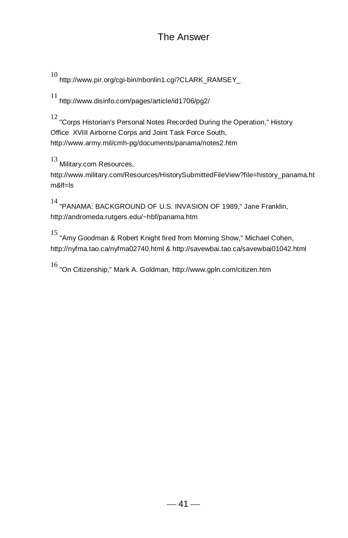10 http://www.pir.org/cgi-bin/nbonlin1.cgi?CLARK\_RAMSEY\_

11 http://www.disinfo.com/pages/article/id1706/pg2/

12 "Corps Historian's Personal Notes Recorded During the Operation," History Office XVIII Airborne Corps and Joint Task Force South, http://www.army.mil/cmh-pg/documents/panama/notes2.htm

13 Military.com Resources,

http://www.military.com/Resources/HistorySubmittedFileView?file=history\_panama.ht m&lf=ls

14 "PANAMA: BACKGROUND OF U.S. INVASION OF 1989," Jane Franklin, http://andromeda.rutgers.edu/~hbf/panama.htm

15 "Amy Goodman & Robert Knight fired from Morning Show," Michael Cohen, http://nyfma.tao.ca/nyfma02740.html & http://savewbai.tao.ca/savewbai01042.html

16 "On Citizenship," Mark A. Goldman, http://www.gpln.com/citizen.htm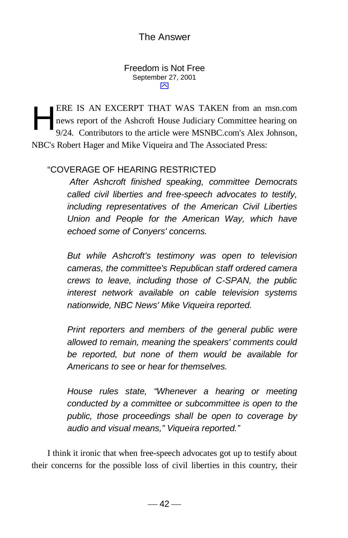Freedom is Not Free September 27, 2001 ⊠

ERE IS AN EXCERPT THAT WAS TAKEN from an msn.com news report of the Ashcroft House Judiciary Committee hearing on 9/24. Contributors to the article were MSNBC.com's Alex Johnson, NBC's Robert Hager and Mike Viqueira and The Associated Press: H

# "COVERAGE OF HEARING RESTRICTED

 *After Ashcroft finished speaking, committee Democrats called civil liberties and free-speech advocates to testify, including representatives of the American Civil Liberties Union and People for the American Way, which have echoed some of Conyers' concerns.*

*But while Ashcroft's testimony was open to television cameras, the committee's Republican staff ordered camera crews to leave, including those of C-SPAN, the public interest network available on cable television systems nationwide, NBC News' Mike Viqueira reported.*

*Print reporters and members of the general public were allowed to remain, meaning the speakers' comments could be reported, but none of them would be available for Americans to see or hear for themselves.*

*House rules state, "Whenever a hearing or meeting conducted by a committee or subcommittee is open to the public, those proceedings shall be open to coverage by audio and visual means," Viqueira reported."*

 I think it ironic that when free-speech advocates got up to testify about their concerns for the possible loss of civil liberties in this country, their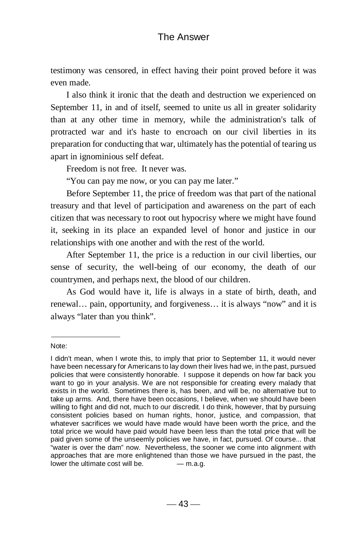testimony was censored, in effect having their point proved before it was even made.

 I also think it ironic that the death and destruction we experienced on September 11, in and of itself, seemed to unite us all in greater solidarity than at any other time in memory, while the administration's talk of protracted war and it's haste to encroach on our civil liberties in its preparation for conducting that war, ultimately has the potential of tearing us apart in ignominious self defeat.

Freedom is not free. It never was.

"You can pay me now, or you can pay me later."

 Before September 11, the price of freedom was that part of the national treasury and that level of participation and awareness on the part of each citizen that was necessary to root out hypocrisy where we might have found it, seeking in its place an expanded level of honor and justice in our relationships with one another and with the rest of the world.

 After September 11, the price is a reduction in our civil liberties, our sense of security, the well-being of our economy, the death of our countrymen, and perhaps next, the blood of our children.

 As God would have it, life is always in a state of birth, death, and renewal… pain, opportunity, and forgiveness… it is always "now" and it is always "later than you think".

Note:

I didn't mean, when I wrote this, to imply that prior to September 11, it would never have been necessary for Americans to lay down their lives had we, in the past, pursued policies that were consistently honorable. I suppose it depends on how far back you want to go in your analysis. We are not responsible for creating every malady that exists in the world. Sometimes there is, has been, and will be, no alternative but to take up arms. And, there have been occasions, I believe, when we should have been willing to fight and did not, much to our discredit. I do think, however, that by pursuing consistent policies based on human rights, honor, justice, and compassion, that whatever sacrifices we would have made would have been worth the price, and the total price we would have paid would have been less than the total price that will be paid given some of the unseemly policies we have, in fact, pursued. Of course... that "water is over the dam" now. Nevertheless, the sooner we come into alignment with approaches that are more enlightened than those we have pursued in the past, the lower the ultimate cost will be.  $-$  m.a.g.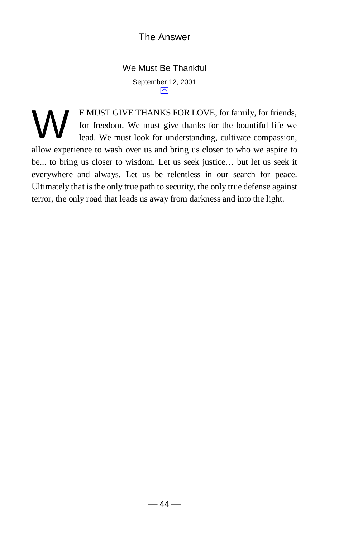We Must Be Thankful September 12, 2001  $\overline{\mathbf{N}}$ 

E MUST GIVE THANKS FOR LOVE, for family, for friends, for freedom. We must give thanks for the bountiful life we lead. We must look for understanding, cultivate compassion, allow experience to wash over us and bring us closer to who we aspire to be... to bring us closer to wisdom. Let us seek justice… but let us seek it everywhere and always. Let us be relentless in our search for peace. Ultimately that is the only true path to security, the only true defense against terror, the only road that leads us away from darkness and into the light. W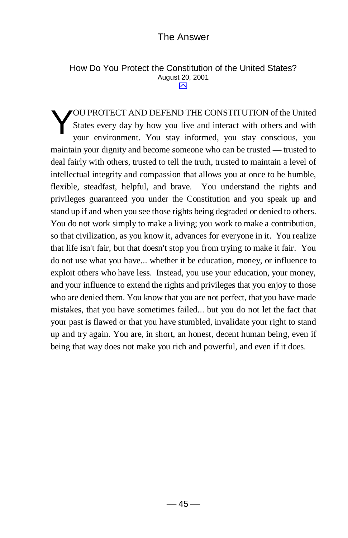#### How Do You Protect the Constitution of the United States? August 20, 2001 "

OU PROTECT AND DEFEND THE CONSTITUTION of the United States every day by how you live and interact with others and with your environment. You stay informed, you stay conscious, you maintain your dignity and become someone who can be trusted — trusted to deal fairly with others, trusted to tell the truth, trusted to maintain a level of intellectual integrity and compassion that allows you at once to be humble, flexible, steadfast, helpful, and brave. You understand the rights and privileges guaranteed you under the Constitution and you speak up and stand up if and when you see those rights being degraded or denied to others. You do not work simply to make a living; you work to make a contribution, so that civilization, as you know it, advances for everyone in it. You realize that life isn't fair, but that doesn't stop you from trying to make it fair. You do not use what you have... whether it be education, money, or influence to exploit others who have less. Instead, you use your education, your money, and your influence to extend the rights and privileges that you enjoy to those who are denied them. You know that you are not perfect, that you have made mistakes, that you have sometimes failed... but you do not let the fact that your past is flawed or that you have stumbled, invalidate your right to stand up and try again. You are, in short, an honest, decent human being, even if being that way does not make you rich and powerful, and even if it does. Y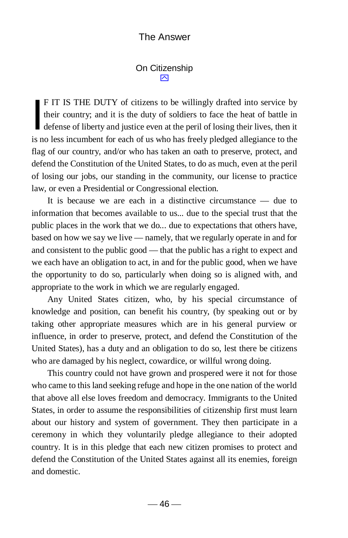#### On Citizenship  $\boxtimes$

F IT IS THE DUTY of citizens to be willingly drafted into service by their country; and it is the duty of soldiers to face the heat of battle in F IT IS THE DUTY of citizens to be willingly drafted into service by<br>their country; and it is the duty of soldiers to face the heat of battle in<br>defense of liberty and justice even at the peril of losing their lives, then is no less incumbent for each of us who has freely pledged allegiance to the flag of our country, and/or who has taken an oath to preserve, protect, and defend the Constitution of the United States, to do as much, even at the peril of losing our jobs, our standing in the community, our license to practice law, or even a Presidential or Congressional election.

It is because we are each in a distinctive circumstance — due to information that becomes available to us... due to the special trust that the public places in the work that we do... due to expectations that others have, based on how we say we live — namely, that we regularly operate in and for and consistent to the public good — that the public has a right to expect and we each have an obligation to act, in and for the public good, when we have the opportunity to do so, particularly when doing so is aligned with, and appropriate to the work in which we are regularly engaged.

Any United States citizen, who, by his special circumstance of knowledge and position, can benefit his country, (by speaking out or by taking other appropriate measures which are in his general purview or influence, in order to preserve, protect, and defend the Constitution of the United States), has a duty and an obligation to do so, lest there be citizens who are damaged by his neglect, cowardice, or willful wrong doing.

This country could not have grown and prospered were it not for those who came to this land seeking refuge and hope in the one nation of the world that above all else loves freedom and democracy. Immigrants to the United States, in order to assume the responsibilities of citizenship first must learn about our history and system of government. They then participate in a ceremony in which they voluntarily pledge allegiance to their adopted country. It is in this pledge that each new citizen promises to protect and defend the Constitution of the United States against all its enemies, foreign and domestic.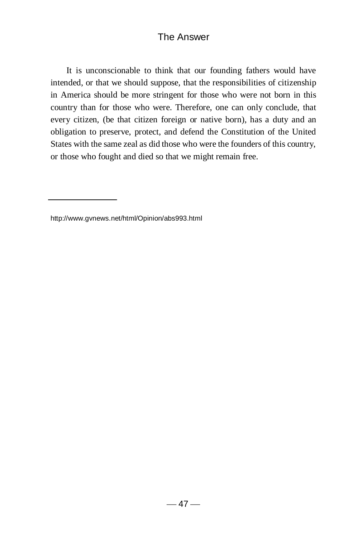It is unconscionable to think that our founding fathers would have intended, or that we should suppose, that the responsibilities of citizenship in America should be more stringent for those who were not born in this country than for those who were. Therefore, one can only conclude, that every citizen, (be that citizen foreign or native born), has a duty and an obligation to preserve, protect, and defend the Constitution of the United States with the same zeal as did those who were the founders of this country, or those who fought and died so that we might remain free.

http://www.gvnews.net/html/Opinion/abs993.html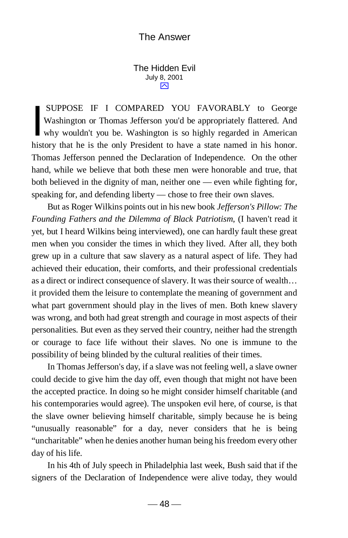The Hidden Evil July 8, 2001  $\overline{\sim}$ 

 SUPPOSE IF I COMPARED YOU FAVORABLY to George Washington or Thomas Jefferson you'd be appropriately flattered. And SUPPOSE IF I COMPARED YOU FAVORABLY to George<br>Washington or Thomas Jefferson you'd be appropriately flattered. And<br>why wouldn't you be. Washington is so highly regarded in American history that he is the only President to have a state named in his honor. Thomas Jefferson penned the Declaration of Independence. On the other hand, while we believe that both these men were honorable and true, that both believed in the dignity of man, neither one — even while fighting for, speaking for, and defending liberty — chose to free their own slaves.

 But as Roger Wilkins points out in his new book *Jefferson's Pillow: The Founding Fathers and the Dilemma of Black Patriotism*, (I haven't read it yet, but I heard Wilkins being interviewed), one can hardly fault these great men when you consider the times in which they lived. After all, they both grew up in a culture that saw slavery as a natural aspect of life. They had achieved their education, their comforts, and their professional credentials as a direct or indirect consequence of slavery. It was their source of wealth… it provided them the leisure to contemplate the meaning of government and what part government should play in the lives of men. Both knew slavery was wrong, and both had great strength and courage in most aspects of their personalities. But even as they served their country, neither had the strength or courage to face life without their slaves. No one is immune to the possibility of being blinded by the cultural realities of their times.

 In Thomas Jefferson's day, if a slave was not feeling well, a slave owner could decide to give him the day off, even though that might not have been the accepted practice. In doing so he might consider himself charitable (and his contemporaries would agree). The unspoken evil here, of course, is that the slave owner believing himself charitable, simply because he is being "unusually reasonable" for a day, never considers that he is being "uncharitable" when he denies another human being his freedom every other day of his life.

 In his 4th of July speech in Philadelphia last week, Bush said that if the signers of the Declaration of Independence were alive today, they would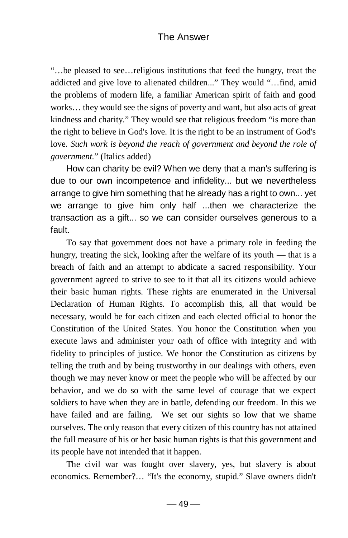"…be pleased to see…religious institutions that feed the hungry, treat the addicted and give love to alienated children..." They would "…find, amid the problems of modern life, a familiar American spirit of faith and good works… they would see the signs of poverty and want, but also acts of great kindness and charity." They would see that religious freedom "is more than the right to believe in God's love. It is the right to be an instrument of God's love. *Such work is beyond the reach of government and beyond the role of government.*" (Italics added)

 How can charity be evil? When we deny that a man's suffering is due to our own incompetence and infidelity... but we nevertheless arrange to give him something that he already has a right to own... yet we arrange to give him only half ...then we characterize the transaction as a gift... so we can consider ourselves generous to a fault.

 To say that government does not have a primary role in feeding the hungry, treating the sick, looking after the welfare of its youth — that is a breach of faith and an attempt to abdicate a sacred responsibility. Your government agreed to strive to see to it that all its citizens would achieve their basic human rights. These rights are enumerated in the Universal Declaration of Human Rights. To accomplish this, all that would be necessary, would be for each citizen and each elected official to honor the Constitution of the United States. You honor the Constitution when you execute laws and administer your oath of office with integrity and with fidelity to principles of justice. We honor the Constitution as citizens by telling the truth and by being trustworthy in our dealings with others, even though we may never know or meet the people who will be affected by our behavior, and we do so with the same level of courage that we expect soldiers to have when they are in battle, defending our freedom. In this we have failed and are failing. We set our sights so low that we shame ourselves. The only reason that every citizen of this country has not attained the full measure of his or her basic human rights is that this government and its people have not intended that it happen.

 The civil war was fought over slavery, yes, but slavery is about economics. Remember?… "It's the economy, stupid." Slave owners didn't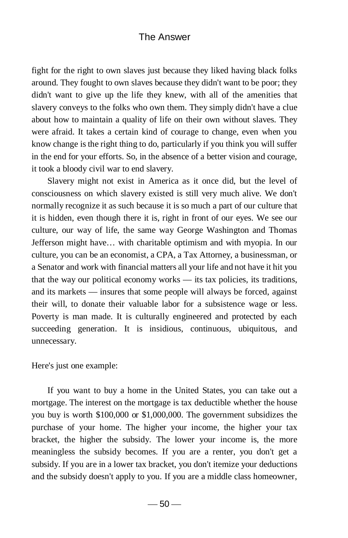fight for the right to own slaves just because they liked having black folks around. They fought to own slaves because they didn't want to be poor; they didn't want to give up the life they knew, with all of the amenities that slavery conveys to the folks who own them. They simply didn't have a clue about how to maintain a quality of life on their own without slaves. They were afraid. It takes a certain kind of courage to change, even when you know change is the right thing to do, particularly if you think you will suffer in the end for your efforts. So, in the absence of a better vision and courage, it took a bloody civil war to end slavery.

 Slavery might not exist in America as it once did, but the level of consciousness on which slavery existed is still very much alive. We don't normally recognize it as such because it is so much a part of our culture that it is hidden, even though there it is, right in front of our eyes. We see our culture, our way of life, the same way George Washington and Thomas Jefferson might have… with charitable optimism and with myopia. In our culture, you can be an economist, a CPA, a Tax Attorney, a businessman, or a Senator and work with financial matters all your life and not have it hit you that the way our political economy works — its tax policies, its traditions, and its markets — insures that some people will always be forced, against their will, to donate their valuable labor for a subsistence wage or less. Poverty is man made. It is culturally engineered and protected by each succeeding generation. It is insidious, continuous, ubiquitous, and unnecessary.

Here's just one example:

 If you want to buy a home in the United States, you can take out a mortgage. The interest on the mortgage is tax deductible whether the house you buy is worth \$100,000 or \$1,000,000. The government subsidizes the purchase of your home. The higher your income, the higher your tax bracket, the higher the subsidy. The lower your income is, the more meaningless the subsidy becomes. If you are a renter, you don't get a subsidy. If you are in a lower tax bracket, you don't itemize your deductions and the subsidy doesn't apply to you. If you are a middle class homeowner,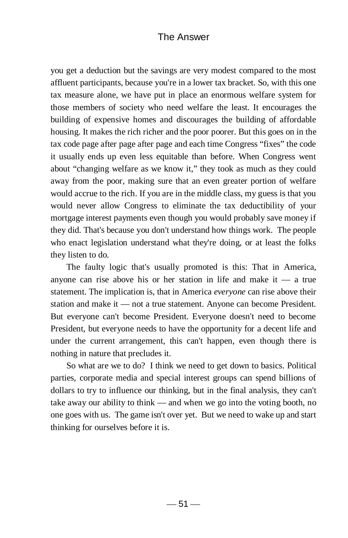you get a deduction but the savings are very modest compared to the most affluent participants, because you're in a lower tax bracket. So, with this one tax measure alone, we have put in place an enormous welfare system for those members of society who need welfare the least. It encourages the building of expensive homes and discourages the building of affordable housing. It makes the rich richer and the poor poorer. But this goes on in the tax code page after page after page and each time Congress "fixes" the code it usually ends up even less equitable than before. When Congress went about "changing welfare as we know it," they took as much as they could away from the poor, making sure that an even greater portion of welfare would accrue to the rich. If you are in the middle class, my guess is that you would never allow Congress to eliminate the tax deductibility of your mortgage interest payments even though you would probably save money if they did. That's because you don't understand how things work. The people who enact legislation understand what they're doing, or at least the folks they listen to do.

 The faulty logic that's usually promoted is this: That in America, anyone can rise above his or her station in life and make it  $-$  a true statement. The implication is, that in America *everyone* can rise above their station and make it — not a true statement. Anyone can become President. But everyone can't become President. Everyone doesn't need to become President, but everyone needs to have the opportunity for a decent life and under the current arrangement, this can't happen, even though there is nothing in nature that precludes it.

 So what are we to do? I think we need to get down to basics. Political parties, corporate media and special interest groups can spend billions of dollars to try to influence our thinking, but in the final analysis, they can't take away our ability to think — and when we go into the voting booth, no one goes with us. The game isn't over yet. But we need to wake up and start thinking for ourselves before it is.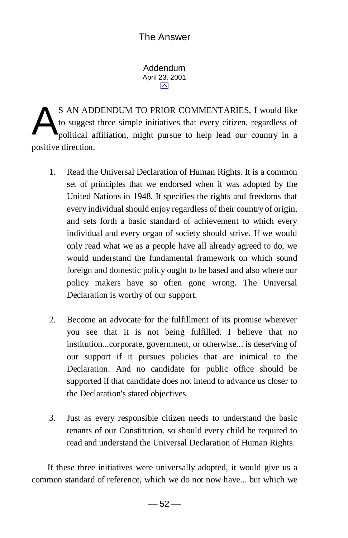Addendum April 23, 2001 ⊠

S AN ADDENDUM TO PRIOR COMMENTARIES, I would like to suggest three simple initiatives that every citizen, regardless of political affiliation, might pursue to help lead our country in a positive direction. A

- 1. Read the Universal Declaration of Human Rights. It is a common set of principles that we endorsed when it was adopted by the United Nations in 1948. It specifies the rights and freedoms that every individual should enjoy regardless of their country of origin, and sets forth a basic standard of achievement to which every individual and every organ of society should strive. If we would only read what we as a people have all already agreed to do, we would understand the fundamental framework on which sound foreign and domestic policy ought to be based and also where our policy makers have so often gone wrong. The Universal Declaration is worthy of our support.
- 2. Become an advocate for the fulfillment of its promise wherever you see that it is not being fulfilled. I believe that no institution...corporate, government, or otherwise... is deserving of our support if it pursues policies that are inimical to the Declaration. And no candidate for public office should be supported if that candidate does not intend to advance us closer to the Declaration's stated objectives.
- 3. Just as every responsible citizen needs to understand the basic tenants of our Constitution, so should every child be required to read and understand the Universal Declaration of Human Rights.

If these three initiatives were universally adopted, it would give us a common standard of reference, which we do not now have... but which we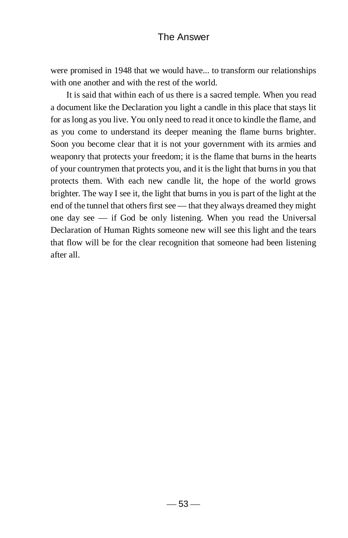were promised in 1948 that we would have... to transform our relationships with one another and with the rest of the world.

 It is said that within each of us there is a sacred temple. When you read a document like the Declaration you light a candle in this place that stays lit for as long as you live. You only need to read it once to kindle the flame, and as you come to understand its deeper meaning the flame burns brighter. Soon you become clear that it is not your government with its armies and weaponry that protects your freedom; it is the flame that burns in the hearts of your countrymen that protects you, and it is the light that burns in you that protects them. With each new candle lit, the hope of the world grows brighter. The way I see it, the light that burns in you is part of the light at the end of the tunnel that others first see — that they always dreamed they might one day see — if God be only listening. When you read the Universal Declaration of Human Rights someone new will see this light and the tears that flow will be for the clear recognition that someone had been listening after all.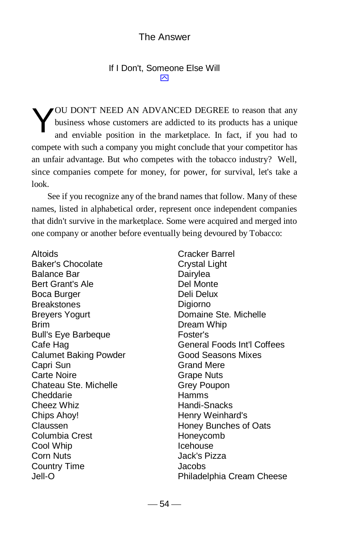#### If I Don't, Someone Else Will  $\overline{\mathsf{M}}$

OU DON'T NEED AN ADVANCED DEGREE to reason that any business whose customers are addicted to its products has a unique and enviable position in the marketplace. In fact, if you had to compete with such a company you might conclude that your competitor has an unfair advantage. But who competes with the tobacco industry? Well, since companies compete for money, for power, for survival, let's take a look. Y

 See if you recognize any of the brand names that follow. Many of these names, listed in alphabetical order, represent once independent companies that didn't survive in the marketplace. Some were acquired and merged into one company or another before eventually being devoured by Tobacco:

Altoids Baker's Chocolate Balance Bar Bert Grant's Ale Boca Burger **Breakstones** Breyers Yogurt Brim Bull's Eye Barbeque Cafe Hag Calumet Baking Powder Capri Sun Carte Noire Chateau Ste. Michelle Cheddarie Cheez Whiz Chips Ahoy! Claussen Columbia Crest Cool Whip Corn Nuts Country Time Jell-O

Cracker Barrel Crystal Light Dairylea Del Monte Deli Delux Digiorno Domaine Ste. Michelle Dream Whip Foster's General Foods Int'l Coffees Good Seasons Mixes Grand Mere Grape Nuts Grey Poupon Hamms Handi-Snacks Henry Weinhard's Honey Bunches of Oats Honeycomb Icehouse Jack's Pizza Jacobs Philadelphia Cream Cheese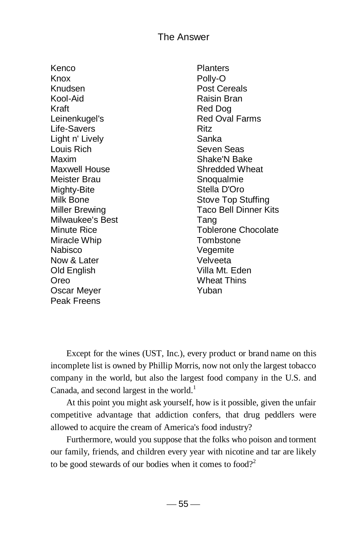Kenco Knox Knudsen Kool-Aid Kraft Leinenkugel's Life-Savers Light n' Lively Louis Rich Maxim Maxwell House Meister Brau Mighty-Bite Milk Bone Miller Brewing Milwaukee's Best Minute Rice Miracle Whip Nabisco Now & Later Old English Oreo Oscar Meyer Peak Freens

**Planters** Polly-O Post Cereals Raisin Bran Red Dog Red Oval Farms Ritz Sanka Seven Seas Shake'N Bake Shredded Wheat **Snoqualmie** Stella D'Oro Stove Top Stuffing Taco Bell Dinner Kits Tang Toblerone Chocolate **Tombstone Vegemite** Velveeta Villa Mt. Eden Wheat Thins Yuban

 Except for the wines (UST, Inc.), every product or brand name on this incomplete list is owned by Phillip Morris, now not only the largest tobacco company in the world, but also the largest food company in the U.S. and Canada, and second largest in the world.<sup>1</sup>

 At this point you might ask yourself, how is it possible, given the unfair competitive advantage that addiction confers, that drug peddlers were allowed to acquire the cream of America's food industry?

 Furthermore, would you suppose that the folks who poison and torment our family, friends, and children every year with nicotine and tar are likely to be good stewards of our bodies when it comes to food?<sup>2</sup>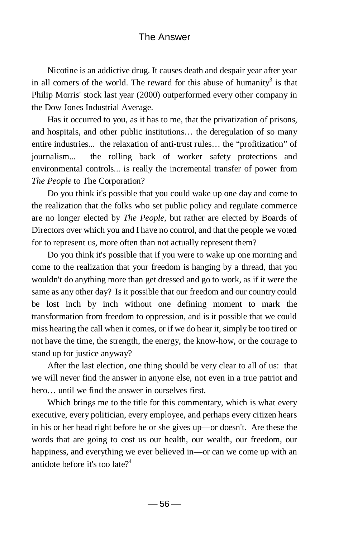Nicotine is an addictive drug. It causes death and despair year after year in all corners of the world. The reward for this abuse of humanity<sup>3</sup> is that Philip Morris' stock last year (2000) outperformed every other company in the Dow Jones Industrial Average.

Has it occurred to you, as it has to me, that the privatization of prisons, and hospitals, and other public institutions… the deregulation of so many entire industries... the relaxation of anti-trust rules… the "profitization" of journalism... the rolling back of worker safety protections and environmental controls... is really the incremental transfer of power from *The People* to The Corporation?

 Do you think it's possible that you could wake up one day and come to the realization that the folks who set public policy and regulate commerce are no longer elected by *The People*, but rather are elected by Boards of Directors over which you and I have no control, and that the people we voted for to represent us, more often than not actually represent them?

 Do you think it's possible that if you were to wake up one morning and come to the realization that your freedom is hanging by a thread, that you wouldn't do anything more than get dressed and go to work, as if it were the same as any other day? Is it possible that our freedom and our country could be lost inch by inch without one defining moment to mark the transformation from freedom to oppression, and is it possible that we could miss hearing the call when it comes, or if we do hear it, simply be too tired or not have the time, the strength, the energy, the know-how, or the courage to stand up for justice anyway?

 After the last election, one thing should be very clear to all of us: that we will never find the answer in anyone else, not even in a true patriot and hero… until we find the answer in ourselves first.

 Which brings me to the title for this commentary, which is what every executive, every politician, every employee, and perhaps every citizen hears in his or her head right before he or she gives up—or doesn't. Are these the words that are going to cost us our health, our wealth, our freedom, our happiness, and everything we ever believed in—or can we come up with an antidote before it's too late $2^4$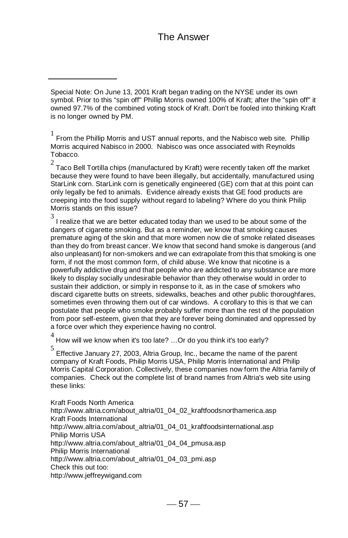1 From the Phillip Morris and UST annual reports, and the Nabisco web site. Phillip Morris acquired Nabisco in 2000. Nabisco was once associated with Reynolds Tobacco.

 $^2$  Taco Bell Tortilla chips (manufactured by Kraft) were recently taken off the market because they were found to have been illegally, but accidentally, manufactured using StarLink corn. StarLink corn is genetically engineered (GE) corn that at this point can only legally be fed to animals. Evidence already exists that GE food products are creeping into the food supply without regard to labeling? Where do you think Philip Morris stands on this issue?

3 I realize that we are better educated today than we used to be about some of the dangers of cigarette smoking. But as a reminder, we know that smoking causes premature aging of the skin and that more women now die of smoke related diseases than they do from breast cancer. We know that second hand smoke is dangerous (and also unpleasant) for non-smokers and we can extrapolate from this that smoking is one form, if not the most common form, of child abuse. We know that nicotine is a powerfully addictive drug and that people who are addicted to any substance are more likely to display socially undesirable behavior than they otherwise would in order to sustain their addiction, or simply in response to it, as in the case of smokers who discard cigarette butts on streets, sidewalks, beaches and other public thoroughfares, sometimes even throwing them out of car windows. A corollary to this is that we can postulate that people who smoke probably suffer more than the rest of the population from poor self-esteem, given that they are forever being dominated and oppressed by a force over which they experience having no control.

4

How will we know when it's too late? …Or do you think it's too early?

5 Effective January 27, 2003, Altria Group, Inc., became the name of the parent company of Kraft Foods, Philip Morris USA, Philip Morris International and Philip Morris Capital Corporation. Collectively, these companies now form the Altria family of companies. Check out the complete list of brand names from Altria's web site using these links:

Kraft Foods North America http://www.altria.com/about\_altria/01\_04\_02\_kraftfoodsnorthamerica.asp Kraft Foods International http://www.altria.com/about\_altria/01\_04\_01\_kraftfoodsinternational.asp Philip Morris USA http://www.altria.com/about\_altria/01\_04\_04\_pmusa.asp Philip Morris International http://www.altria.com/about\_altria/01\_04\_03\_pmi.asp Check this out too: http://www.jeffreywigand.com

Special Note: On June 13, 2001 Kraft began trading on the NYSE under its own symbol. Prior to this "spin off" Phillip Morris owned 100% of Kraft; after the "spin off" it owned 97.7% of the combined voting stock of Kraft. Don't be fooled into thinking Kraft is no longer owned by PM.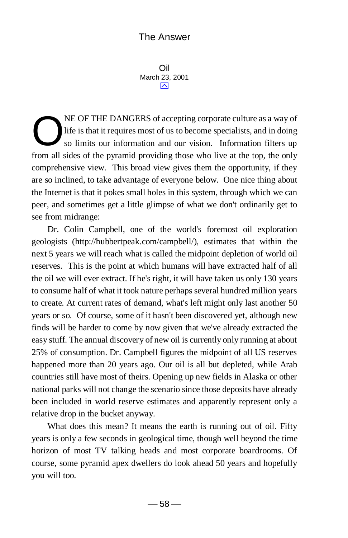Oil March 23, 2001 ⋝

NE OF THE DANGERS of accepting corporate culture as a way of life is that it requires most of us to become specialists, and in doing so limits our information and our vision. Information filters up from all sides of the pyramid providing those who live at the top, the only comprehensive view. This broad view gives them the opportunity, if they are so inclined, to take advantage of everyone below. One nice thing about the Internet is that it pokes small holes in this system, through which we can peer, and sometimes get a little glimpse of what we don't ordinarily get to see from midrange: O

 Dr. Colin Campbell, one of the world's foremost oil exploration geologists (http://hubbertpeak.com/campbell/), estimates that within the next 5 years we will reach what is called the midpoint depletion of world oil reserves. This is the point at which humans will have extracted half of all the oil we will ever extract. If he's right, it will have taken us only 130 years to consume half of what it took nature perhaps several hundred million years to create. At current rates of demand, what's left might only last another 50 years or so. Of course, some of it hasn't been discovered yet, although new finds will be harder to come by now given that we've already extracted the easy stuff. The annual discovery of new oil is currently only running at about 25% of consumption. Dr. Campbell figures the midpoint of all US reserves happened more than 20 years ago. Our oil is all but depleted, while Arab countries still have most of theirs. Opening up new fields in Alaska or other national parks will not change the scenario since those deposits have already been included in world reserve estimates and apparently represent only a relative drop in the bucket anyway.

 What does this mean? It means the earth is running out of oil. Fifty years is only a few seconds in geological time, though well beyond the time horizon of most TV talking heads and most corporate boardrooms. Of course, some pyramid apex dwellers do look ahead 50 years and hopefully you will too.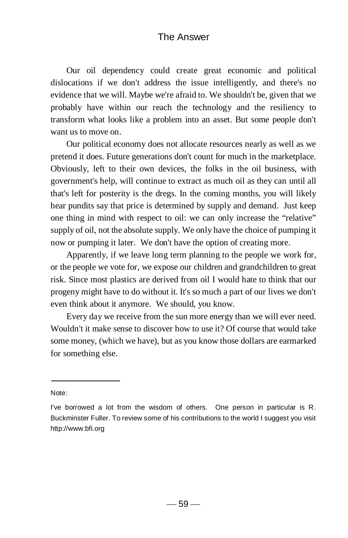Our oil dependency could create great economic and political dislocations if we don't address the issue intelligently, and there's no evidence that we will. Maybe we're afraid to. We shouldn't be, given that we probably have within our reach the technology and the resiliency to transform what looks like a problem into an asset. But some people don't want us to move on.

 Our political economy does not allocate resources nearly as well as we pretend it does. Future generations don't count for much in the marketplace. Obviously, left to their own devices, the folks in the oil business, with government's help, will continue to extract as much oil as they can until all that's left for posterity is the dregs. In the coming months, you will likely hear pundits say that price is determined by supply and demand. Just keep one thing in mind with respect to oil: we can only increase the "relative" supply of oil, not the absolute supply. We only have the choice of pumping it now or pumping it later. We don't have the option of creating more.

 Apparently, if we leave long term planning to the people we work for, or the people we vote for, we expose our children and grandchildren to great risk. Since most plastics are derived from oil I would hate to think that our progeny might have to do without it. It's so much a part of our lives we don't even think about it anymore. We should, you know.

 Every day we receive from the sun more energy than we will ever need. Wouldn't it make sense to discover how to use it? Of course that would take some money, (which we have), but as you know those dollars are earmarked for something else.

Note:

I've borrowed a lot from the wisdom of others. One person in particular is R. Buckminster Fuller. To review some of his contributions to the world I suggest you visit http://www.bfi.org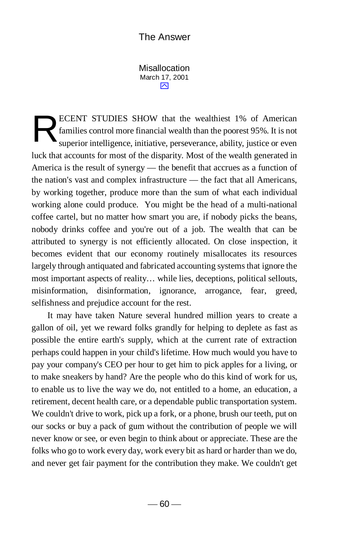Misallocation March 17, 2001  $\overline{\sim}$ 

ECENT STUDIES SHOW that the wealthiest 1% of American families control more financial wealth than the poorest 95%. It is not superior intelligence, initiative, perseverance, ability, justice or even luck that accounts for most of the disparity. Most of the wealth generated in America is the result of synergy — the benefit that accrues as a function of the nation's vast and complex infrastructure — the fact that all Americans, by working together, produce more than the sum of what each individual working alone could produce. You might be the head of a multi-national coffee cartel, but no matter how smart you are, if nobody picks the beans, nobody drinks coffee and you're out of a job. The wealth that can be attributed to synergy is not efficiently allocated. On close inspection, it becomes evident that our economy routinely misallocates its resources largely through antiquated and fabricated accounting systems that ignore the most important aspects of reality… while lies, deceptions, political sellouts, misinformation, disinformation, ignorance, arrogance, fear, greed, selfishness and prejudice account for the rest. R

 It may have taken Nature several hundred million years to create a gallon of oil, yet we reward folks grandly for helping to deplete as fast as possible the entire earth's supply, which at the current rate of extraction perhaps could happen in your child's lifetime. How much would you have to pay your company's CEO per hour to get him to pick apples for a living, or to make sneakers by hand? Are the people who do this kind of work for us, to enable us to live the way we do, not entitled to a home, an education, a retirement, decent health care, or a dependable public transportation system. We couldn't drive to work, pick up a fork, or a phone, brush our teeth, put on our socks or buy a pack of gum without the contribution of people we will never know or see, or even begin to think about or appreciate. These are the folks who go to work every day, work every bit as hard or harder than we do, and never get fair payment for the contribution they make. We couldn't get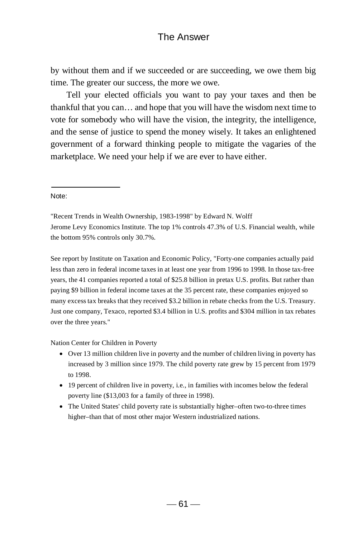by without them and if we succeeded or are succeeding, we owe them big time. The greater our success, the more we owe.

 Tell your elected officials you want to pay your taxes and then be thankful that you can… and hope that you will have the wisdom next time to vote for somebody who will have the vision, the integrity, the intelligence, and the sense of justice to spend the money wisely. It takes an enlightened government of a forward thinking people to mitigate the vagaries of the marketplace. We need your help if we are ever to have either.

#### Note:

"Recent Trends in Wealth Ownership, 1983-1998" by Edward N. Wolff Jerome Levy Economics Institute. The top 1% controls 47.3% of U.S. Financial wealth, while the bottom 95% controls only 30.7%.

See report by Institute on Taxation and Economic Policy, "Forty-one companies actually paid less than zero in federal income taxes in at least one year from 1996 to 1998. In those tax-free years, the 41 companies reported a total of \$25.8 billion in pretax U.S. profits. But rather than paying \$9 billion in federal income taxes at the 35 percent rate, these companies enjoyed so many excess tax breaks that they received \$3.2 billion in rebate checks from the U.S. Treasury. Just one company, Texaco, reported \$3.4 billion in U.S. profits and \$304 million in tax rebates over the three years."

Nation Center for Children in Poverty

- Over 13 million children live in poverty and the number of children living in poverty has increased by 3 million since 1979. The child poverty rate grew by 15 percent from 1979 to 1998.
- $\bullet$  19 percent of children live in poverty, i.e., in families with incomes below the federal poverty line (\$13,003 for a family of three in 1998).
- The United States' child poverty rate is substantially higher–often two-to-three times higher–than that of most other major Western industrialized nations.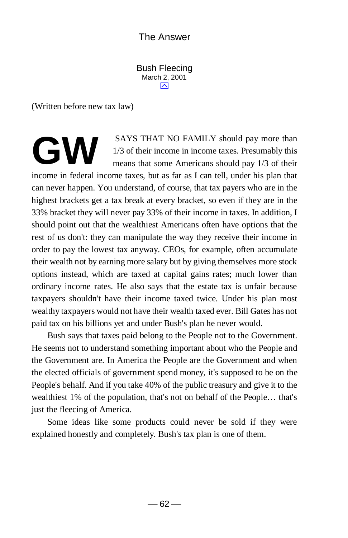Bush Fleecing March 2, 2001  $\overline{\sim}$ 

(Written before new tax law)

SAYS THAT NO FAMILY should pay more than 1/3 of their income in income taxes. Presumably this means that some Americans should pay 1/3 of their **GW**

income in federal income taxes, but as far as I can tell, under his plan that can never happen. You understand, of course, that tax payers who are in the highest brackets get a tax break at every bracket, so even if they are in the 33% bracket they will never pay 33% of their income in taxes. In addition, I should point out that the wealthiest Americans often have options that the rest of us don't: they can manipulate the way they receive their income in order to pay the lowest tax anyway. CEOs, for example, often accumulate their wealth not by earning more salary but by giving themselves more stock options instead, which are taxed at capital gains rates; much lower than ordinary income rates. He also says that the estate tax is unfair because taxpayers shouldn't have their income taxed twice. Under his plan most wealthy taxpayers would not have their wealth taxed ever. Bill Gates has not paid tax on his billions yet and under Bush's plan he never would.

 Bush says that taxes paid belong to the People not to the Government. He seems not to understand something important about who the People and the Government are. In America the People are the Government and when the elected officials of government spend money, it's supposed to be on the People's behalf. And if you take 40% of the public treasury and give it to the wealthiest 1% of the population, that's not on behalf of the People… that's just the fleecing of America.

 Some ideas like some products could never be sold if they were explained honestly and completely. Bush's tax plan is one of them.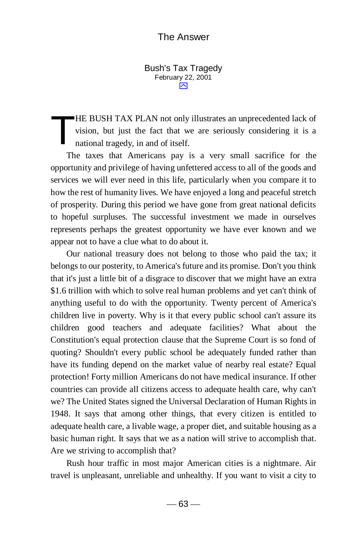Bush's Tax Tragedy February 22, 2001  $\overline{\mathsf{M}}$ 

HE BUSH TAX PLAN not only illustrates an unprecedented lack of vision, but just the fact that we are seriously considering it is a national tragedy, in and of itself. T

 The taxes that Americans pay is a very small sacrifice for the opportunity and privilege of having unfettered access to all of the goods and services we will ever need in this life, particularly when you compare it to how the rest of humanity lives. We have enjoyed a long and peaceful stretch of prosperity. During this period we have gone from great national deficits to hopeful surpluses. The successful investment we made in ourselves represents perhaps the greatest opportunity we have ever known and we appear not to have a clue what to do about it.

 Our national treasury does not belong to those who paid the tax; it belongs to our posterity, to America's future and its promise. Don't you think that it's just a little bit of a disgrace to discover that we might have an extra \$1.6 trillion with which to solve real human problems and yet can't think of anything useful to do with the opportunity. Twenty percent of America's children live in poverty. Why is it that every public school can't assure its children good teachers and adequate facilities? What about the Constitution's equal protection clause that the Supreme Court is so fond of quoting? Shouldn't every public school be adequately funded rather than have its funding depend on the market value of nearby real estate? Equal protection! Forty million Americans do not have medical insurance. If other countries can provide all citizens access to adequate health care, why can't we? The United States signed the Universal Declaration of Human Rights in 1948. It says that among other things, that every citizen is entitled to adequate health care, a livable wage, a proper diet, and suitable housing as a basic human right. It says that we as a nation will strive to accomplish that. Are we striving to accomplish that?

 Rush hour traffic in most major American cities is a nightmare. Air travel is unpleasant, unreliable and unhealthy. If you want to visit a city to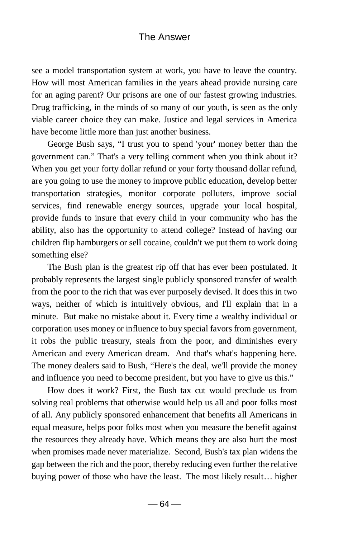see a model transportation system at work, you have to leave the country. How will most American families in the years ahead provide nursing care for an aging parent? Our prisons are one of our fastest growing industries. Drug trafficking, in the minds of so many of our youth, is seen as the only viable career choice they can make. Justice and legal services in America have become little more than just another business.

 George Bush says, "I trust you to spend 'your' money better than the government can." That's a very telling comment when you think about it? When you get your forty dollar refund or your forty thousand dollar refund, are you going to use the money to improve public education, develop better transportation strategies, monitor corporate polluters, improve social services, find renewable energy sources, upgrade your local hospital, provide funds to insure that every child in your community who has the ability, also has the opportunity to attend college? Instead of having our children flip hamburgers or sell cocaine, couldn't we put them to work doing something else?

 The Bush plan is the greatest rip off that has ever been postulated. It probably represents the largest single publicly sponsored transfer of wealth from the poor to the rich that was ever purposely devised. It does this in two ways, neither of which is intuitively obvious, and I'll explain that in a minute. But make no mistake about it. Every time a wealthy individual or corporation uses money or influence to buy special favors from government, it robs the public treasury, steals from the poor, and diminishes every American and every American dream. And that's what's happening here. The money dealers said to Bush, "Here's the deal, we'll provide the money and influence you need to become president, but you have to give us this."

 How does it work? First, the Bush tax cut would preclude us from solving real problems that otherwise would help us all and poor folks most of all. Any publicly sponsored enhancement that benefits all Americans in equal measure, helps poor folks most when you measure the benefit against the resources they already have. Which means they are also hurt the most when promises made never materialize. Second, Bush's tax plan widens the gap between the rich and the poor, thereby reducing even further the relative buying power of those who have the least. The most likely result… higher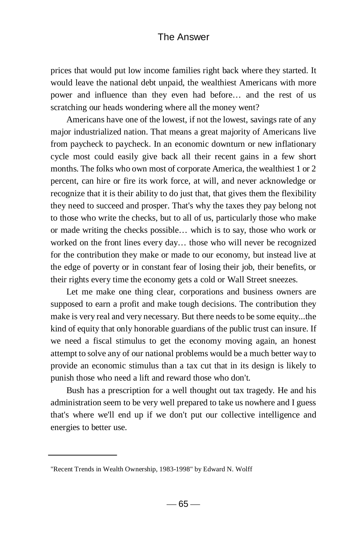prices that would put low income families right back where they started. It would leave the national debt unpaid, the wealthiest Americans with more power and influence than they even had before… and the rest of us scratching our heads wondering where all the money went?

 Americans have one of the lowest, if not the lowest, savings rate of any major industrialized nation. That means a great majority of Americans live from paycheck to paycheck. In an economic downturn or new inflationary cycle most could easily give back all their recent gains in a few short months. The folks who own most of corporate America, the wealthiest 1 or 2 percent, can hire or fire its work force, at will, and never acknowledge or recognize that it is their ability to do just that, that gives them the flexibility they need to succeed and prosper. That's why the taxes they pay belong not to those who write the checks, but to all of us, particularly those who make or made writing the checks possible… which is to say, those who work or worked on the front lines every day… those who will never be recognized for the contribution they make or made to our economy, but instead live at the edge of poverty or in constant fear of losing their job, their benefits, or their rights every time the economy gets a cold or Wall Street sneezes.

 Let me make one thing clear, corporations and business owners are supposed to earn a profit and make tough decisions. The contribution they make is very real and very necessary. But there needs to be some equity...the kind of equity that only honorable guardians of the public trust can insure. If we need a fiscal stimulus to get the economy moving again, an honest attempt to solve any of our national problems would be a much better way to provide an economic stimulus than a tax cut that in its design is likely to punish those who need a lift and reward those who don't.

 Bush has a prescription for a well thought out tax tragedy. He and his administration seem to be very well prepared to take us nowhere and I guess that's where we'll end up if we don't put our collective intelligence and energies to better use.

<sup>&</sup>quot;Recent Trends in Wealth Ownership, 1983-1998" by Edward N. Wolff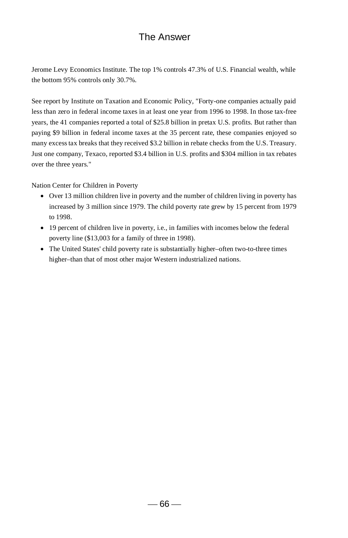Jerome Levy Economics Institute. The top 1% controls 47.3% of U.S. Financial wealth, while the bottom 95% controls only 30.7%.

See report by Institute on Taxation and Economic Policy, "Forty-one companies actually paid less than zero in federal income taxes in at least one year from 1996 to 1998. In those tax-free years, the 41 companies reported a total of \$25.8 billion in pretax U.S. profits. But rather than paying \$9 billion in federal income taxes at the 35 percent rate, these companies enjoyed so many excess tax breaks that they received \$3.2 billion in rebate checks from the U.S. Treasury. Just one company, Texaco, reported \$3.4 billion in U.S. profits and \$304 million in tax rebates over the three years."

Nation Center for Children in Poverty

- Over 13 million children live in poverty and the number of children living in poverty has increased by 3 million since 1979. The child poverty rate grew by 15 percent from 1979 to 1998.
- 19 percent of children live in poverty, i.e., in families with incomes below the federal poverty line (\$13,003 for a family of three in 1998).
- The United States' child poverty rate is substantially higher–often two-to-three times higher–than that of most other major Western industrialized nations.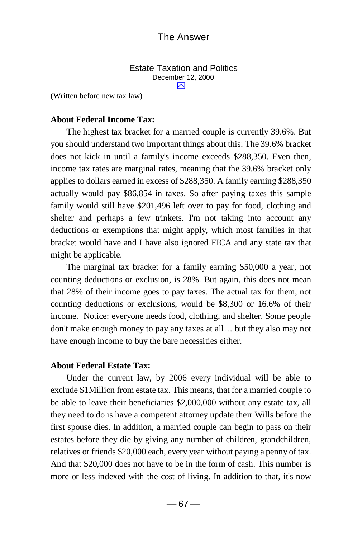Estate Taxation and Politics December 12, 2000  $\overline{\mathbf{N}}$ 

(Written before new tax law)

#### **About Federal Income Tax:**

**T**he highest tax bracket for a married couple is currently 39.6%. But you should understand two important things about this: The 39.6% bracket does not kick in until a family's income exceeds \$288,350. Even then, income tax rates are marginal rates, meaning that the 39.6% bracket only applies to dollars earned in excess of \$288,350. A family earning \$288,350 actually would pay \$86,854 in taxes. So after paying taxes this sample family would still have \$201,496 left over to pay for food, clothing and shelter and perhaps a few trinkets. I'm not taking into account any deductions or exemptions that might apply, which most families in that bracket would have and I have also ignored FICA and any state tax that might be applicable.

The marginal tax bracket for a family earning \$50,000 a year, not counting deductions or exclusion, is 28%. But again, this does not mean that 28% of their income goes to pay taxes. The actual tax for them, not counting deductions or exclusions, would be \$8,300 or 16.6% of their income. Notice: everyone needs food, clothing, and shelter. Some people don't make enough money to pay any taxes at all… but they also may not have enough income to buy the bare necessities either.

#### **About Federal Estate Tax:**

Under the current law, by 2006 every individual will be able to exclude \$1Million from estate tax. This means, that for a married couple to be able to leave their beneficiaries \$2,000,000 without any estate tax, all they need to do is have a competent attorney update their Wills before the first spouse dies. In addition, a married couple can begin to pass on their estates before they die by giving any number of children, grandchildren, relatives or friends \$20,000 each, every year without paying a penny of tax. And that \$20,000 does not have to be in the form of cash. This number is more or less indexed with the cost of living. In addition to that, it's now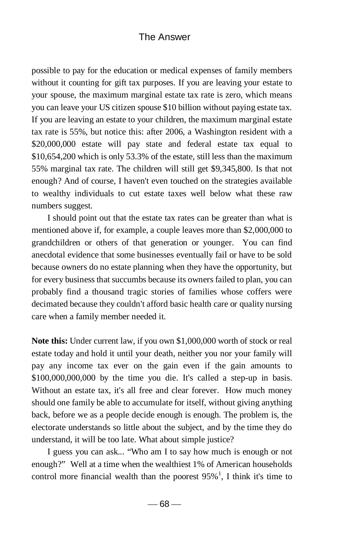possible to pay for the education or medical expenses of family members without it counting for gift tax purposes. If you are leaving your estate to your spouse, the maximum marginal estate tax rate is zero, which means you can leave your US citizen spouse \$10 billion without paying estate tax. If you are leaving an estate to your children, the maximum marginal estate tax rate is 55%, but notice this: after 2006, a Washington resident with a \$20,000,000 estate will pay state and federal estate tax equal to \$10,654,200 which is only 53.3% of the estate, still less than the maximum 55% marginal tax rate. The children will still get \$9,345,800. Is that not enough? And of course, I haven't even touched on the strategies available to wealthy individuals to cut estate taxes well below what these raw numbers suggest.

I should point out that the estate tax rates can be greater than what is mentioned above if, for example, a couple leaves more than \$2,000,000 to grandchildren or others of that generation or younger. You can find anecdotal evidence that some businesses eventually fail or have to be sold because owners do no estate planning when they have the opportunity, but for every business that succumbs because its owners failed to plan, you can probably find a thousand tragic stories of families whose coffers were decimated because they couldn't afford basic health care or quality nursing care when a family member needed it.

**Note this:** Under current law, if you own \$1,000,000 worth of stock or real estate today and hold it until your death, neither you nor your family will pay any income tax ever on the gain even if the gain amounts to \$100,000,000,000 by the time you die. It's called a step-up in basis. Without an estate tax, it's all free and clear forever. How much money should one family be able to accumulate for itself, without giving anything back, before we as a people decide enough is enough. The problem is, the electorate understands so little about the subject, and by the time they do understand, it will be too late. What about simple justice?

I guess you can ask... "Who am I to say how much is enough or not enough?" Well at a time when the wealthiest 1% of American households control more financial wealth than the poorest  $95\%$ <sup>1</sup>, I think it's time to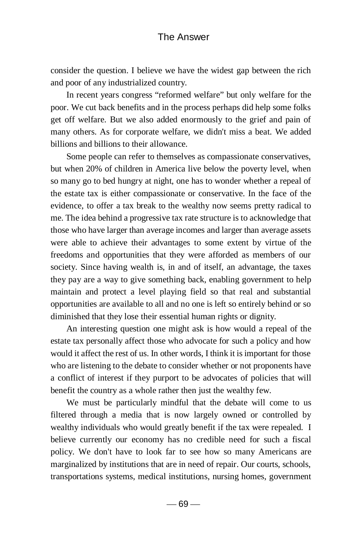consider the question. I believe we have the widest gap between the rich and poor of any industrialized country.

In recent years congress "reformed welfare" but only welfare for the poor. We cut back benefits and in the process perhaps did help some folks get off welfare. But we also added enormously to the grief and pain of many others. As for corporate welfare, we didn't miss a beat. We added billions and billions to their allowance.

Some people can refer to themselves as compassionate conservatives, but when 20% of children in America live below the poverty level, when so many go to bed hungry at night, one has to wonder whether a repeal of the estate tax is either compassionate or conservative. In the face of the evidence, to offer a tax break to the wealthy now seems pretty radical to me. The idea behind a progressive tax rate structure is to acknowledge that those who have larger than average incomes and larger than average assets were able to achieve their advantages to some extent by virtue of the freedoms and opportunities that they were afforded as members of our society. Since having wealth is, in and of itself, an advantage, the taxes they pay are a way to give something back, enabling government to help maintain and protect a level playing field so that real and substantial opportunities are available to all and no one is left so entirely behind or so diminished that they lose their essential human rights or dignity.

An interesting question one might ask is how would a repeal of the estate tax personally affect those who advocate for such a policy and how would it affect the rest of us. In other words, I think it is important for those who are listening to the debate to consider whether or not proponents have a conflict of interest if they purport to be advocates of policies that will benefit the country as a whole rather then just the wealthy few.

We must be particularly mindful that the debate will come to us filtered through a media that is now largely owned or controlled by wealthy individuals who would greatly benefit if the tax were repealed. I believe currently our economy has no credible need for such a fiscal policy. We don't have to look far to see how so many Americans are marginalized by institutions that are in need of repair. Our courts, schools, transportations systems, medical institutions, nursing homes, government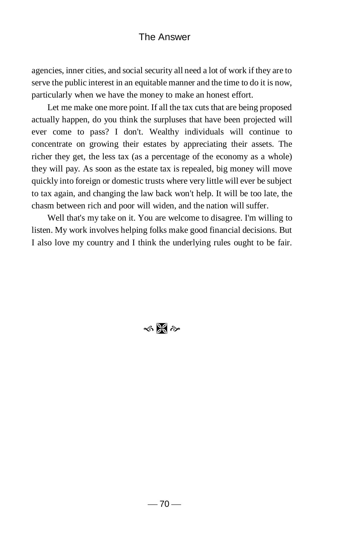agencies, inner cities, and social security all need a lot of work if they are to serve the public interest in an equitable manner and the time to do it is now, particularly when we have the money to make an honest effort.

Let me make one more point. If all the tax cuts that are being proposed actually happen, do you think the surpluses that have been projected will ever come to pass? I don't. Wealthy individuals will continue to concentrate on growing their estates by appreciating their assets. The richer they get, the less tax (as a percentage of the economy as a whole) they will pay. As soon as the estate tax is repealed, big money will move quickly into foreign or domestic trusts where very little will ever be subject to tax again, and changing the law back won't help. It will be too late, the chasm between rich and poor will widen, and the nation will suffer.

Well that's my take on it. You are welcome to disagree. I'm willing to listen. My work involves helping folks make good financial decisions. But I also love my country and I think the underlying rules ought to be fair.

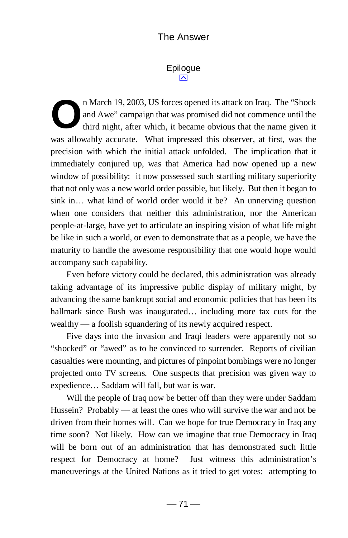### Epilogue  $\boxtimes$

n March 19, 2003, US forces opened its attack on Iraq. The "Shock and Awe" campaign that was promised did not commence until the third night, after which, it became obvious that the name given it was allowably accurate. What impressed this observer, at first, was the precision with which the initial attack unfolded. The implication that it immediately conjured up, was that America had now opened up a new window of possibility: it now possessed such startling military superiority that not only was a new world order possible, but likely. But then it began to sink in… what kind of world order would it be? An unnerving question when one considers that neither this administration, nor the American people-at-large, have yet to articulate an inspiring vision of what life might be like in such a world, or even to demonstrate that as a people, we have the maturity to handle the awesome responsibility that one would hope would accompany such capability. **O**

 Even before victory could be declared, this administration was already taking advantage of its impressive public display of military might, by advancing the same bankrupt social and economic policies that has been its hallmark since Bush was inaugurated... including more tax cuts for the wealthy — a foolish squandering of its newly acquired respect.

 Five days into the invasion and Iraqi leaders were apparently not so "shocked" or "awed" as to be convinced to surrender. Reports of civilian casualties were mounting, and pictures of pinpoint bombings were no longer projected onto TV screens. One suspects that precision was given way to expedience… Saddam will fall, but war is war.

 Will the people of Iraq now be better off than they were under Saddam Hussein? Probably — at least the ones who will survive the war and not be driven from their homes will. Can we hope for true Democracy in Iraq any time soon? Not likely. How can we imagine that true Democracy in Iraq will be born out of an administration that has demonstrated such little respect for Democracy at home? Just witness this administration's maneuverings at the United Nations as it tried to get votes: attempting to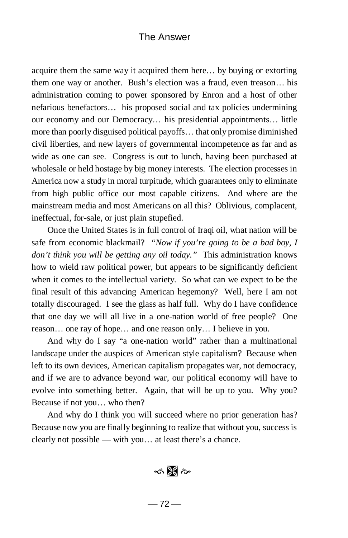acquire them the same way it acquired them here… by buying or extorting them one way or another. Bush's election was a fraud, even treason… his administration coming to power sponsored by Enron and a host of other nefarious benefactors… his proposed social and tax policies undermining our economy and our Democracy… his presidential appointments… little more than poorly disguised political payoffs… that only promise diminished civil liberties, and new layers of governmental incompetence as far and as wide as one can see. Congress is out to lunch, having been purchased at wholesale or held hostage by big money interests. The election processes in America now a study in moral turpitude, which guarantees only to eliminate from high public office our most capable citizens. And where are the mainstream media and most Americans on all this? Oblivious, complacent, ineffectual, for-sale, or just plain stupefied.

Once the United States is in full control of Iraqi oil, what nation will be safe from economic blackmail? *"Now if you're going to be a bad boy, I don't think you will be getting any oil today."* This administration knows how to wield raw political power, but appears to be significantly deficient when it comes to the intellectual variety. So what can we expect to be the final result of this advancing American hegemony? Well, here I am not totally discouraged. I see the glass as half full. Why do I have confidence that one day we will all live in a one-nation world of free people? One reason… one ray of hope… and one reason only… I believe in you.

And why do I say "a one-nation world" rather than a multinational landscape under the auspices of American style capitalism? Because when left to its own devices, American capitalism propagates war, not democracy, and if we are to advance beyond war, our political economy will have to evolve into something better. Again, that will be up to you. Why you? Because if not you… who then?

And why do I think you will succeed where no prior generation has? Because now you are finally beginning to realize that without you, success is clearly not possible — with you… at least there's a chance.

 $\frac{1}{2}$   $\frac{1}{2}$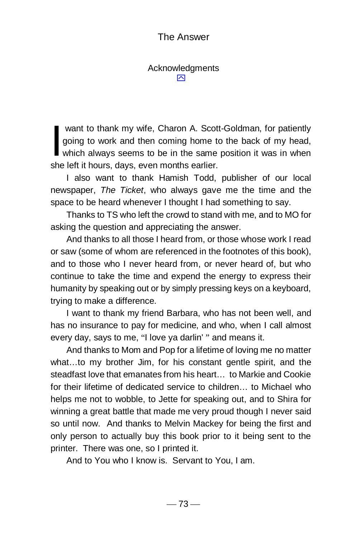Acknowledgments  $\overline{\mathsf{M}}$ 

 want to thank my wife, Charon A. Scott-Goldman, for patiently going to work and then coming home to the back of my head, want to thank my wife, Charon A. Scott-Goldman, for patiently<br>going to work and then coming home to the back of my head,<br>which always seems to be in the same position it was in when she left it hours, days, even months earlier.

I also want to thank Hamish Todd, publisher of our local newspaper, *The Ticket*, who always gave me the time and the space to be heard whenever I thought I had something to say.

Thanks to TS who left the crowd to stand with me, and to MO for asking the question and appreciating the answer.

And thanks to all those I heard from, or those whose work I read or saw (some of whom are referenced in the footnotes of this book), and to those who I never heard from, or never heard of, but who continue to take the time and expend the energy to express their humanity by speaking out or by simply pressing keys on a keyboard, trying to make a difference.

I want to thank my friend Barbara, who has not been well, and has no insurance to pay for medicine, and who, when I call almost every day, says to me, "I love ya darlin' " and means it.

And thanks to Mom and Pop for a lifetime of loving me no matter what…to my brother Jim, for his constant gentle spirit, and the steadfast love that emanates from his heart… to Markie and Cookie for their lifetime of dedicated service to children… to Michael who helps me not to wobble, to Jette for speaking out, and to Shira for winning a great battle that made me very proud though I never said so until now. And thanks to Melvin Mackey for being the first and only person to actually buy this book prior to it being sent to the printer. There was one, so I printed it.

And to You who I know is. Servant to You, I am.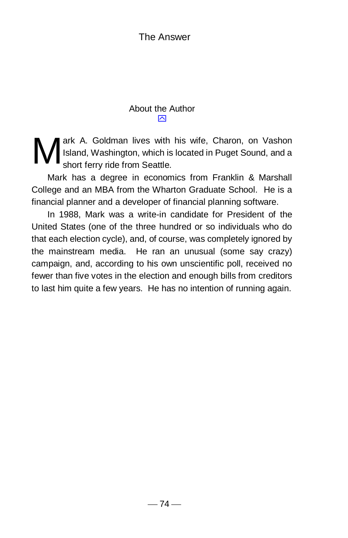### About the Author  $\overline{\mathbf{N}}$

ark A. Goldman lives with his wife, Charon, on Vashon Island, Washington, which is located in Puget Sound, and a short ferry ride from Seattle. M

Mark has a degree in economics from Franklin & Marshall College and an MBA from the Wharton Graduate School. He is a financial planner and a developer of financial planning software.

In 1988, Mark was a write-in candidate for President of the United States (one of the three hundred or so individuals who do that each election cycle), and, of course, was completely ignored by the mainstream media. He ran an unusual (some say crazy) campaign, and, according to his own unscientific poll, received no fewer than five votes in the election and enough bills from creditors to last him quite a few years. He has no intention of running again.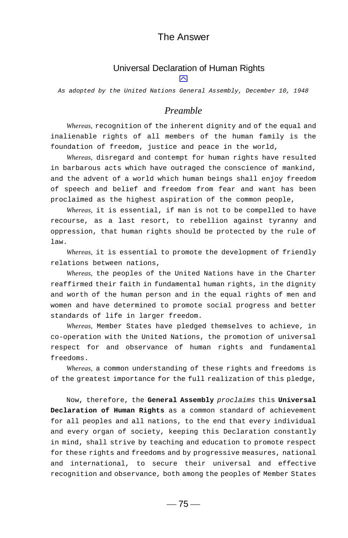## Universal Declaration of Human Rights

 $\boxtimes$ 

*As adopted by the United Nations General Assembly, December 10, 1948*

#### *Preamble*

*Whereas,* recognition of the inherent dignity and of the equal and inalienable rights of all members of the human family is the foundation of freedom, justice and peace in the world,

*Whereas,* disregard and contempt for human rights have resulted in barbarous acts which have outraged the conscience of mankind, and the advent of a world which human beings shall enjoy freedom of speech and belief and freedom from fear and want has been proclaimed as the highest aspiration of the common people,

*Whereas,* it is essential, if man is not to be compelled to have recourse, as a last resort, to rebellion against tyranny and oppression, that human rights should be protected by the rule of law.

*Whereas,* it is essential to promote the development of friendly relations between nations,

*Whereas,* the peoples of the United Nations have in the Charter reaffirmed their faith in fundamental human rights, in the dignity and worth of the human person and in the equal rights of men and women and have determined to promote social progress and better standards of life in larger freedom.

*Whereas,* Member States have pledged themselves to achieve, in co-operation with the United Nations, the promotion of universal respect for and observance of human rights and fundamental freedoms.

*Whereas,* a common understanding of these rights and freedoms is of the greatest importance for the full realization of this pledge,

Now, therefore, the **General Assembly** *proclaims* this **Universal Declaration of Human Rights** as a common standard of achievement for all peoples and all nations, to the end that every individual and every organ of society, keeping this Declaration constantly in mind, shall strive by teaching and education to promote respect for these rights and freedoms and by progressive measures, national and international, to secure their universal and effective recognition and observance, both among the peoples of Member States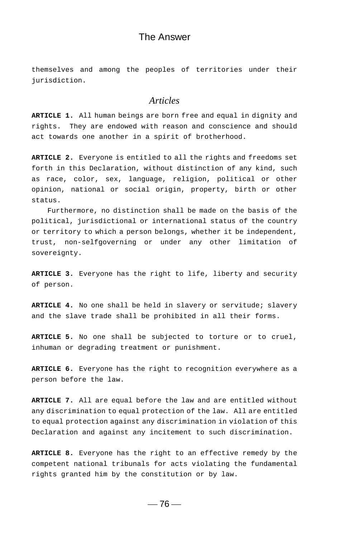themselves and among the peoples of territories under their jurisdiction.

#### *Articles*

**ARTICLE 1.** All human beings are born free and equal in dignity and rights. They are endowed with reason and conscience and should act towards one another in a spirit of brotherhood.

**ARTICLE 2.** Everyone is entitled to all the rights and freedoms set forth in this Declaration, without distinction of any kind, such as race, color, sex, language, religion, political or other opinion, national or social origin, property, birth or other status.

Furthermore, no distinction shall be made on the basis of the political, jurisdictional or international status of the country or territory to which a person belongs, whether it be independent, trust, non-selfgoverning or under any other limitation of sovereignty.

**ARTICLE 3.** Everyone has the right to life, liberty and security of person.

**ARTICLE 4.** No one shall be held in slavery or servitude; slavery and the slave trade shall be prohibited in all their forms.

**ARTICLE 5.** No one shall be subjected to torture or to cruel, inhuman or degrading treatment or punishment.

**ARTICLE 6.** Everyone has the right to recognition everywhere as a person before the law.

**ARTICLE 7.** All are equal before the law and are entitled without any discrimination to equal protection of the law. All are entitled to equal protection against any discrimination in violation of this Declaration and against any incitement to such discrimination.

**ARTICLE 8.** Everyone has the right to an effective remedy by the competent national tribunals for acts violating the fundamental rights granted him by the constitution or by law.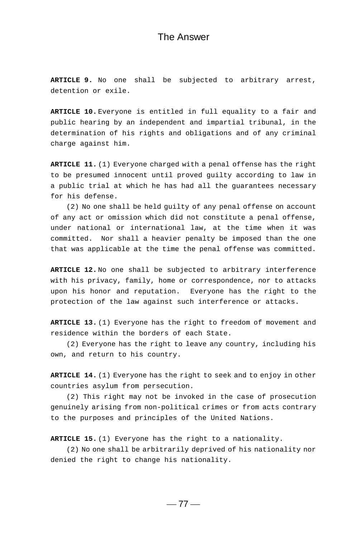**ARTICLE 9.** No one shall be subjected to arbitrary arrest, detention or exile.

**ARTICLE 10.** Everyone is entitled in full equality to a fair and public hearing by an independent and impartial tribunal, in the determination of his rights and obligations and of any criminal charge against him.

**ARTICLE 11.** (1) Everyone charged with a penal offense has the right to be presumed innocent until proved guilty according to law in a public trial at which he has had all the guarantees necessary for his defense.

(2) No one shall be held guilty of any penal offense on account of any act or omission which did not constitute a penal offense, under national or international law, at the time when it was committed. Nor shall a heavier penalty be imposed than the one that was applicable at the time the penal offense was committed.

**ARTICLE 12.** No one shall be subjected to arbitrary interference with his privacy, family, home or correspondence, nor to attacks upon his honor and reputation. Everyone has the right to the protection of the law against such interference or attacks.

**ARTICLE 13.** (1) Everyone has the right to freedom of movement and residence within the borders of each State.

(2) Everyone has the right to leave any country, including his own, and return to his country.

**ARTICLE 14.** (1) Everyone has the right to seek and to enjoy in other countries asylum from persecution.

(2) This right may not be invoked in the case of prosecution genuinely arising from non-political crimes or from acts contrary to the purposes and principles of the United Nations.

**ARTICLE 15.** (1) Everyone has the right to a nationality.

(2) No one shall be arbitrarily deprived of his nationality nor denied the right to change his nationality.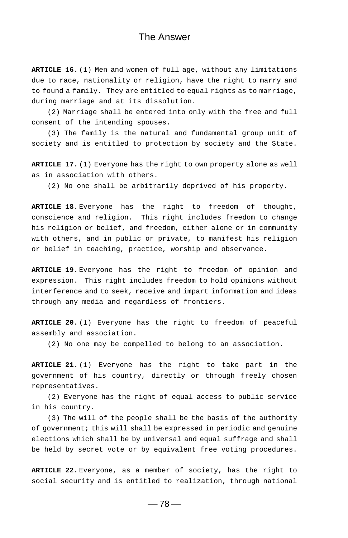**ARTICLE 16.** (1) Men and women of full age, without any limitations due to race, nationality or religion, have the right to marry and to found a family. They are entitled to equal rights as to marriage, during marriage and at its dissolution.

(2) Marriage shall be entered into only with the free and full consent of the intending spouses.

(3) The family is the natural and fundamental group unit of society and is entitled to protection by society and the State.

**ARTICLE 17.** (1) Everyone has the right to own property alone as well as in association with others.

(2) No one shall be arbitrarily deprived of his property.

**ARTICLE 18.** Everyone has the right to freedom of thought, conscience and religion. This right includes freedom to change his religion or belief, and freedom, either alone or in community with others, and in public or private, to manifest his religion or belief in teaching, practice, worship and observance.

**ARTICLE 19.** Everyone has the right to freedom of opinion and expression. This right includes freedom to hold opinions without interference and to seek, receive and impart information and ideas through any media and regardless of frontiers.

**ARTICLE 20.** (1) Everyone has the right to freedom of peaceful assembly and association.

(2) No one may be compelled to belong to an association.

**ARTICLE 21.** (1) Everyone has the right to take part in the government of his country, directly or through freely chosen representatives.

(2) Everyone has the right of equal access to public service in his country.

(3) The will of the people shall be the basis of the authority of government; this will shall be expressed in periodic and genuine elections which shall be by universal and equal suffrage and shall be held by secret vote or by equivalent free voting procedures.

**ARTICLE 22.** Everyone, as a member of society, has the right to social security and is entitled to realization, through national

 $-78-$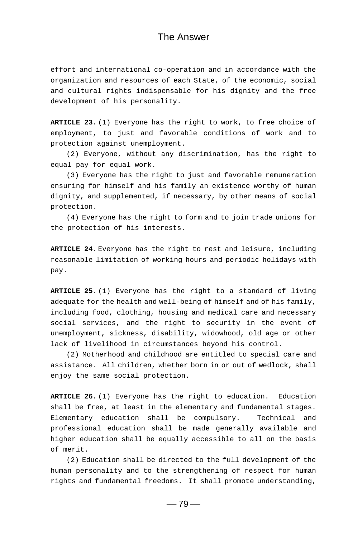effort and international co-operation and in accordance with the organization and resources of each State, of the economic, social and cultural rights indispensable for his dignity and the free development of his personality.

**ARTICLE 23.** (1) Everyone has the right to work, to free choice of employment, to just and favorable conditions of work and to protection against unemployment.

(2) Everyone, without any discrimination, has the right to equal pay for equal work.

(3) Everyone has the right to just and favorable remuneration ensuring for himself and his family an existence worthy of human dignity, and supplemented, if necessary, by other means of social protection.

(4) Everyone has the right to form and to join trade unions for the protection of his interests.

**ARTICLE 24.** Everyone has the right to rest and leisure, including reasonable limitation of working hours and periodic holidays with pay.

**ARTICLE 25.** (1) Everyone has the right to a standard of living adequate for the health and well-being of himself and of his family, including food, clothing, housing and medical care and necessary social services, and the right to security in the event of unemployment, sickness, disability, widowhood, old age or other lack of livelihood in circumstances beyond his control.

(2) Motherhood and childhood are entitled to special care and assistance. All children, whether born in or out of wedlock, shall enjoy the same social protection.

**ARTICLE 26.** (1) Everyone has the right to education. Education shall be free, at least in the elementary and fundamental stages. Elementary education shall be compulsory. Technical and professional education shall be made generally available and higher education shall be equally accessible to all on the basis of merit.

(2) Education shall be directed to the full development of the human personality and to the strengthening of respect for human rights and fundamental freedoms. It shall promote understanding,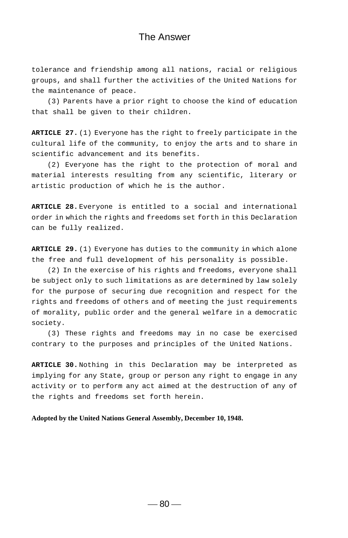tolerance and friendship among all nations, racial or religious groups, and shall further the activities of the United Nations for the maintenance of peace.

(3) Parents have a prior right to choose the kind of education that shall be given to their children.

**ARTICLE 27.** (1) Everyone has the right to freely participate in the cultural life of the community, to enjoy the arts and to share in scientific advancement and its benefits.

(2) Everyone has the right to the protection of moral and material interests resulting from any scientific, literary or artistic production of which he is the author.

**ARTICLE 28.** Everyone is entitled to a social and international order in which the rights and freedoms set forth in this Declaration can be fully realized.

**ARTICLE 29.** (1) Everyone has duties to the community in which alone the free and full development of his personality is possible.

(2) In the exercise of his rights and freedoms, everyone shall be subject only to such limitations as are determined by law solely for the purpose of securing due recognition and respect for the rights and freedoms of others and of meeting the just requirements of morality, public order and the general welfare in a democratic society.

(3) These rights and freedoms may in no case be exercised contrary to the purposes and principles of the United Nations.

**ARTICLE 30.** Nothing in this Declaration may be interpreted as implying for any State, group or person any right to engage in any activity or to perform any act aimed at the destruction of any of the rights and freedoms set forth herein.

**Adopted by the United Nations General Assembly, December 10, 1948.**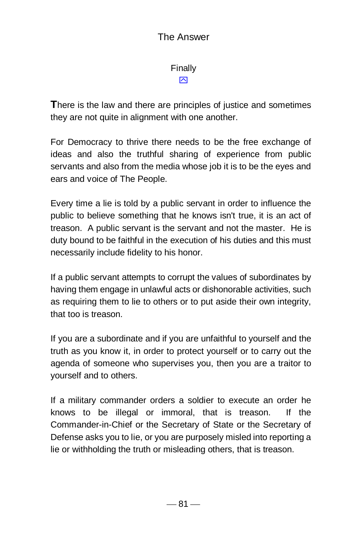Finally  $\overline{\mathsf{M}}$ 

**T**here is the law and there are principles of justice and sometimes they are not quite in alignment with one another.

For Democracy to thrive there needs to be the free exchange of ideas and also the truthful sharing of experience from public servants and also from the media whose job it is to be the eyes and ears and voice of The People.

Every time a lie is told by a public servant in order to influence the public to believe something that he knows isn't true, it is an act of treason. A public servant is the servant and not the master. He is duty bound to be faithful in the execution of his duties and this must necessarily include fidelity to his honor.

If a public servant attempts to corrupt the values of subordinates by having them engage in unlawful acts or dishonorable activities, such as requiring them to lie to others or to put aside their own integrity, that too is treason.

If you are a subordinate and if you are unfaithful to yourself and the truth as you know it, in order to protect yourself or to carry out the agenda of someone who supervises you, then you are a traitor to yourself and to others.

If a military commander orders a soldier to execute an order he knows to be illegal or immoral, that is treason. If the Commander-in-Chief or the Secretary of State or the Secretary of Defense asks you to lie, or you are purposely misled into reporting a lie or withholding the truth or misleading others, that is treason.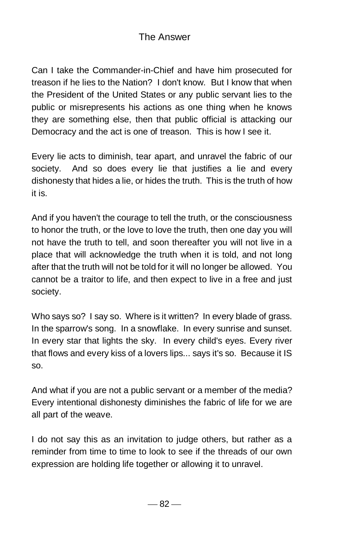Can I take the Commander-in-Chief and have him prosecuted for treason if he lies to the Nation? I don't know. But I know that when the President of the United States or any public servant lies to the public or misrepresents his actions as one thing when he knows they are something else, then that public official is attacking our Democracy and the act is one of treason. This is how I see it.

Every lie acts to diminish, tear apart, and unravel the fabric of our society. And so does every lie that justifies a lie and every dishonesty that hides a lie, or hides the truth. This is the truth of how it is.

And if you haven't the courage to tell the truth, or the consciousness to honor the truth, or the love to love the truth, then one day you will not have the truth to tell, and soon thereafter you will not live in a place that will acknowledge the truth when it is told, and not long after that the truth will not be told for it will no longer be allowed. You cannot be a traitor to life, and then expect to live in a free and just society.

Who says so? I say so. Where is it written? In every blade of grass. In the sparrow's song. In a snowflake. In every sunrise and sunset. In every star that lights the sky. In every child's eyes. Every river that flows and every kiss of a lovers lips... says it's so. Because it IS so.

And what if you are not a public servant or a member of the media? Every intentional dishonesty diminishes the fabric of life for we are all part of the weave.

I do not say this as an invitation to judge others, but rather as a reminder from time to time to look to see if the threads of our own expression are holding life together or allowing it to unravel.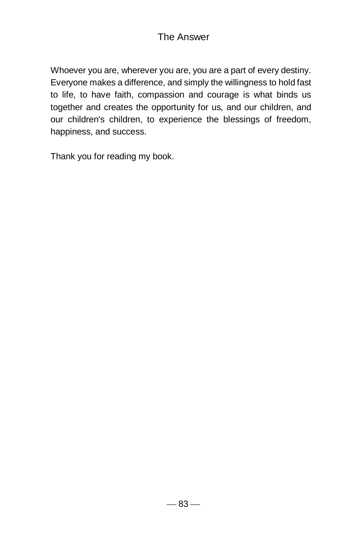Whoever you are, wherever you are, you are a part of every destiny. Everyone makes a difference, and simply the willingness to hold fast to life, to have faith, compassion and courage is what binds us together and creates the opportunity for us, and our children, and our children's children, to experience the blessings of freedom, happiness, and success.

Thank you for reading my book.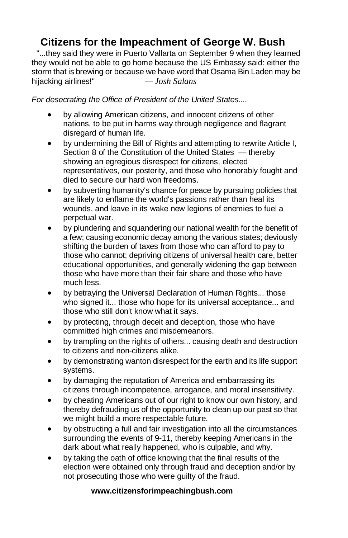# **Citizens for the Impeachment of George W. Bush**

"...they said they were in Puerto Vallarta on September 9 when they learned they would not be able to go home because the US Embassy said: either the storm that is brewing or because we have word that Osama Bin Laden may be hijacking airlines!" *— Josh Salans*

*For desecrating the Office of President of the United States....*

- by allowing American citizens, and innocent citizens of other nations, to be put in harms way through negligence and flagrant disregard of human life.
- by undermining the Bill of Rights and attempting to rewrite Article I, Section 8 of the [Constitution of the United States](http://www.citizensforimpeachingbush.com/constitution_of_the_united_state.htm) — thereby showing an egregious disrespect for citizens, elected representatives, our posterity, and those who honorably fought and died to secure our hard won freedoms.
- by subverting humanity's chance for peace by pursuing policies that are likely to enflame the world's passions rather than heal its wounds, and leave in its wake new legions of enemies to fuel a perpetual war.
- by plundering and squandering our national wealth for the benefit of a few; causing economic decay among the various states; deviously shifting the burden of taxes from those who can afford to pay to those who cannot; depriving citizens of universal health care, better educational opportunities, and generally widening the gap between those who have more than their fair share and those who have much less.
- by betraying the Universal Declaration of Human Rights... those who signed it... those who hope for its universal acceptance... and those who still don't know what it says.
- by protecting, through deceit and deception, those who have committed high crimes and misdemeanors.
- by trampling on the rights of others... causing death and destruction to citizens and non-citizens alike.
- by demonstrating wanton disrespect for the earth and its life support systems.
- by damaging the reputation of America and embarrassing its citizens through incompetence, arrogance, and moral insensitivity.
- by cheating Americans out of our right to know our own history, and thereby defrauding us of the opportunity to clean up our past so that we might build a more respectable future.
- by obstructing a full and fair investigation into all the circumstances surrounding the events of 9-11, thereby keeping Americans in the dark about what really happened, who is culpable, and why.
- by taking the oath of office knowing that the final results of the election were obtained only through fraud and deception and/or by not prosecuting those who were guilty of the fraud.

#### **www.citizensforimpeachingbush.com**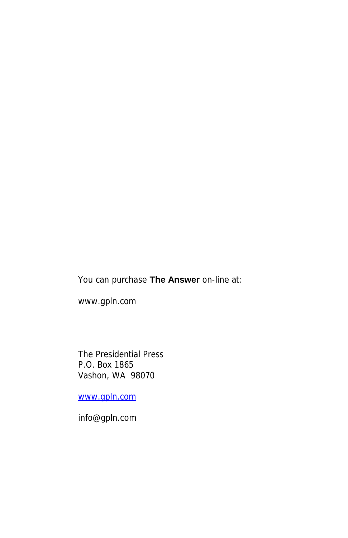You can purchase **The Answer** on-line at:

www.gpln.com

The Presidential Press P.O. Box 1865 Vashon, WA 98070

[www.gpln.com](http://www.gpln.com/)

info@gpln.com